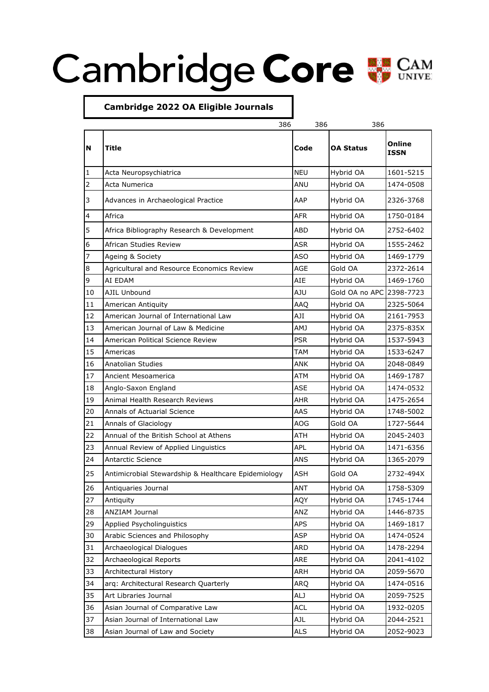## Cambridge Core WE CAM



| Online<br>N<br><b>Title</b><br>Code<br><b>OA Status</b><br><b>ISSN</b><br><b>NEU</b><br>Hybrid OA<br>1<br>Acta Neuropsychiatrica<br>$\overline{2}$<br>Acta Numerica<br>ANU<br>Hybrid OA<br>3<br>Advances in Archaeological Practice<br>AAP<br>Hybrid OA<br>4<br>Africa<br><b>AFR</b><br>Hybrid OA<br>5<br>Africa Bibliography Research & Development<br>ABD<br>Hybrid OA<br>6<br><b>ASR</b><br>African Studies Review<br>Hybrid OA<br>Ageing & Society<br>ASO<br>Hybrid OA<br>7<br>8<br>AGE<br>Gold OA<br>Agricultural and Resource Economics Review<br>9<br>AI EDAM<br>AIE<br>Hybrid OA<br>Gold OA no APC 2398-7723<br>10<br>AJIL Unbound<br>AJU<br>11<br>American Antiquity<br><b>AAQ</b><br>Hybrid OA<br>AJI<br>12<br>American Journal of International Law<br>Hybrid OA<br>13<br><b>AMJ</b><br>American Journal of Law & Medicine<br>Hybrid OA<br>14<br>American Political Science Review<br><b>PSR</b><br>Hybrid OA<br>15<br>TAM<br>Hybrid OA<br>Americas<br>16<br><b>Anatolian Studies</b><br>ANK<br>Hybrid OA<br>17<br><b>ATM</b><br>Hybrid OA<br>Ancient Mesoamerica<br>18<br>Anglo-Saxon England<br>ASE<br>Hybrid OA<br>19<br><b>AHR</b><br>Animal Health Research Reviews<br>Hybrid OA<br>20<br>AAS<br>Hybrid OA<br>Annals of Actuarial Science<br>21<br>Annals of Glaciology<br>AOG<br>Gold OA<br>22<br>Annual of the British School at Athens<br>ATH<br>Hybrid OA<br>23<br>APL<br>Hybrid OA<br>Annual Review of Applied Linguistics<br>24<br><b>ANS</b><br>Hybrid OA<br>Antarctic Science<br><b>ASH</b><br>25<br>Gold OA<br>Antimicrobial Stewardship & Healthcare Epidemiology<br>26<br>ANT<br>Antiquaries Journal<br>Hybrid OA<br>27<br>Antiquity<br>AQY<br>Hybrid OA<br>28<br>ANZIAM Journal<br>ANZ<br>Hybrid OA<br>29<br>Applied Psycholinguistics<br>APS<br>Hybrid OA<br>30<br>Arabic Sciences and Philosophy<br>ASP<br>Hybrid OA<br>31<br>Archaeological Dialogues<br>ARD<br>Hybrid OA<br>ARE<br>32<br>Archaeological Reports<br>Hybrid OA<br>33<br>Architectural History<br>Hybrid OA<br>ARH<br>34<br>arg: Architectural Research Quarterly<br>Hybrid OA<br><b>ARQ</b><br>35<br>Art Libraries Journal<br>ALJ<br>Hybrid OA<br>Asian Journal of Comparative Law<br>36<br>ACL<br>Hybrid OA<br>37<br>Asian Journal of International Law<br>AJL<br>Hybrid OA |    |                                  | 386 | 386 | 386       |           |
|----------------------------------------------------------------------------------------------------------------------------------------------------------------------------------------------------------------------------------------------------------------------------------------------------------------------------------------------------------------------------------------------------------------------------------------------------------------------------------------------------------------------------------------------------------------------------------------------------------------------------------------------------------------------------------------------------------------------------------------------------------------------------------------------------------------------------------------------------------------------------------------------------------------------------------------------------------------------------------------------------------------------------------------------------------------------------------------------------------------------------------------------------------------------------------------------------------------------------------------------------------------------------------------------------------------------------------------------------------------------------------------------------------------------------------------------------------------------------------------------------------------------------------------------------------------------------------------------------------------------------------------------------------------------------------------------------------------------------------------------------------------------------------------------------------------------------------------------------------------------------------------------------------------------------------------------------------------------------------------------------------------------------------------------------------------------------------------------------------------------------------------------------------------------------------------------------------------------------------------------------------------------------|----|----------------------------------|-----|-----|-----------|-----------|
|                                                                                                                                                                                                                                                                                                                                                                                                                                                                                                                                                                                                                                                                                                                                                                                                                                                                                                                                                                                                                                                                                                                                                                                                                                                                                                                                                                                                                                                                                                                                                                                                                                                                                                                                                                                                                                                                                                                                                                                                                                                                                                                                                                                                                                                                            |    |                                  |     |     |           |           |
|                                                                                                                                                                                                                                                                                                                                                                                                                                                                                                                                                                                                                                                                                                                                                                                                                                                                                                                                                                                                                                                                                                                                                                                                                                                                                                                                                                                                                                                                                                                                                                                                                                                                                                                                                                                                                                                                                                                                                                                                                                                                                                                                                                                                                                                                            |    |                                  |     |     |           | 1601-5215 |
|                                                                                                                                                                                                                                                                                                                                                                                                                                                                                                                                                                                                                                                                                                                                                                                                                                                                                                                                                                                                                                                                                                                                                                                                                                                                                                                                                                                                                                                                                                                                                                                                                                                                                                                                                                                                                                                                                                                                                                                                                                                                                                                                                                                                                                                                            |    |                                  |     |     |           | 1474-0508 |
|                                                                                                                                                                                                                                                                                                                                                                                                                                                                                                                                                                                                                                                                                                                                                                                                                                                                                                                                                                                                                                                                                                                                                                                                                                                                                                                                                                                                                                                                                                                                                                                                                                                                                                                                                                                                                                                                                                                                                                                                                                                                                                                                                                                                                                                                            |    |                                  |     |     |           | 2326-3768 |
|                                                                                                                                                                                                                                                                                                                                                                                                                                                                                                                                                                                                                                                                                                                                                                                                                                                                                                                                                                                                                                                                                                                                                                                                                                                                                                                                                                                                                                                                                                                                                                                                                                                                                                                                                                                                                                                                                                                                                                                                                                                                                                                                                                                                                                                                            |    |                                  |     |     |           | 1750-0184 |
|                                                                                                                                                                                                                                                                                                                                                                                                                                                                                                                                                                                                                                                                                                                                                                                                                                                                                                                                                                                                                                                                                                                                                                                                                                                                                                                                                                                                                                                                                                                                                                                                                                                                                                                                                                                                                                                                                                                                                                                                                                                                                                                                                                                                                                                                            |    |                                  |     |     |           | 2752-6402 |
|                                                                                                                                                                                                                                                                                                                                                                                                                                                                                                                                                                                                                                                                                                                                                                                                                                                                                                                                                                                                                                                                                                                                                                                                                                                                                                                                                                                                                                                                                                                                                                                                                                                                                                                                                                                                                                                                                                                                                                                                                                                                                                                                                                                                                                                                            |    |                                  |     |     |           | 1555-2462 |
|                                                                                                                                                                                                                                                                                                                                                                                                                                                                                                                                                                                                                                                                                                                                                                                                                                                                                                                                                                                                                                                                                                                                                                                                                                                                                                                                                                                                                                                                                                                                                                                                                                                                                                                                                                                                                                                                                                                                                                                                                                                                                                                                                                                                                                                                            |    |                                  |     |     |           | 1469-1779 |
|                                                                                                                                                                                                                                                                                                                                                                                                                                                                                                                                                                                                                                                                                                                                                                                                                                                                                                                                                                                                                                                                                                                                                                                                                                                                                                                                                                                                                                                                                                                                                                                                                                                                                                                                                                                                                                                                                                                                                                                                                                                                                                                                                                                                                                                                            |    |                                  |     |     |           | 2372-2614 |
|                                                                                                                                                                                                                                                                                                                                                                                                                                                                                                                                                                                                                                                                                                                                                                                                                                                                                                                                                                                                                                                                                                                                                                                                                                                                                                                                                                                                                                                                                                                                                                                                                                                                                                                                                                                                                                                                                                                                                                                                                                                                                                                                                                                                                                                                            |    |                                  |     |     |           | 1469-1760 |
|                                                                                                                                                                                                                                                                                                                                                                                                                                                                                                                                                                                                                                                                                                                                                                                                                                                                                                                                                                                                                                                                                                                                                                                                                                                                                                                                                                                                                                                                                                                                                                                                                                                                                                                                                                                                                                                                                                                                                                                                                                                                                                                                                                                                                                                                            |    |                                  |     |     |           |           |
|                                                                                                                                                                                                                                                                                                                                                                                                                                                                                                                                                                                                                                                                                                                                                                                                                                                                                                                                                                                                                                                                                                                                                                                                                                                                                                                                                                                                                                                                                                                                                                                                                                                                                                                                                                                                                                                                                                                                                                                                                                                                                                                                                                                                                                                                            |    |                                  |     |     |           | 2325-5064 |
|                                                                                                                                                                                                                                                                                                                                                                                                                                                                                                                                                                                                                                                                                                                                                                                                                                                                                                                                                                                                                                                                                                                                                                                                                                                                                                                                                                                                                                                                                                                                                                                                                                                                                                                                                                                                                                                                                                                                                                                                                                                                                                                                                                                                                                                                            |    |                                  |     |     |           | 2161-7953 |
|                                                                                                                                                                                                                                                                                                                                                                                                                                                                                                                                                                                                                                                                                                                                                                                                                                                                                                                                                                                                                                                                                                                                                                                                                                                                                                                                                                                                                                                                                                                                                                                                                                                                                                                                                                                                                                                                                                                                                                                                                                                                                                                                                                                                                                                                            |    |                                  |     |     |           | 2375-835X |
|                                                                                                                                                                                                                                                                                                                                                                                                                                                                                                                                                                                                                                                                                                                                                                                                                                                                                                                                                                                                                                                                                                                                                                                                                                                                                                                                                                                                                                                                                                                                                                                                                                                                                                                                                                                                                                                                                                                                                                                                                                                                                                                                                                                                                                                                            |    |                                  |     |     |           | 1537-5943 |
|                                                                                                                                                                                                                                                                                                                                                                                                                                                                                                                                                                                                                                                                                                                                                                                                                                                                                                                                                                                                                                                                                                                                                                                                                                                                                                                                                                                                                                                                                                                                                                                                                                                                                                                                                                                                                                                                                                                                                                                                                                                                                                                                                                                                                                                                            |    |                                  |     |     |           | 1533-6247 |
|                                                                                                                                                                                                                                                                                                                                                                                                                                                                                                                                                                                                                                                                                                                                                                                                                                                                                                                                                                                                                                                                                                                                                                                                                                                                                                                                                                                                                                                                                                                                                                                                                                                                                                                                                                                                                                                                                                                                                                                                                                                                                                                                                                                                                                                                            |    |                                  |     |     |           | 2048-0849 |
|                                                                                                                                                                                                                                                                                                                                                                                                                                                                                                                                                                                                                                                                                                                                                                                                                                                                                                                                                                                                                                                                                                                                                                                                                                                                                                                                                                                                                                                                                                                                                                                                                                                                                                                                                                                                                                                                                                                                                                                                                                                                                                                                                                                                                                                                            |    |                                  |     |     |           | 1469-1787 |
|                                                                                                                                                                                                                                                                                                                                                                                                                                                                                                                                                                                                                                                                                                                                                                                                                                                                                                                                                                                                                                                                                                                                                                                                                                                                                                                                                                                                                                                                                                                                                                                                                                                                                                                                                                                                                                                                                                                                                                                                                                                                                                                                                                                                                                                                            |    |                                  |     |     |           | 1474-0532 |
|                                                                                                                                                                                                                                                                                                                                                                                                                                                                                                                                                                                                                                                                                                                                                                                                                                                                                                                                                                                                                                                                                                                                                                                                                                                                                                                                                                                                                                                                                                                                                                                                                                                                                                                                                                                                                                                                                                                                                                                                                                                                                                                                                                                                                                                                            |    |                                  |     |     |           | 1475-2654 |
|                                                                                                                                                                                                                                                                                                                                                                                                                                                                                                                                                                                                                                                                                                                                                                                                                                                                                                                                                                                                                                                                                                                                                                                                                                                                                                                                                                                                                                                                                                                                                                                                                                                                                                                                                                                                                                                                                                                                                                                                                                                                                                                                                                                                                                                                            |    |                                  |     |     |           | 1748-5002 |
|                                                                                                                                                                                                                                                                                                                                                                                                                                                                                                                                                                                                                                                                                                                                                                                                                                                                                                                                                                                                                                                                                                                                                                                                                                                                                                                                                                                                                                                                                                                                                                                                                                                                                                                                                                                                                                                                                                                                                                                                                                                                                                                                                                                                                                                                            |    |                                  |     |     |           | 1727-5644 |
|                                                                                                                                                                                                                                                                                                                                                                                                                                                                                                                                                                                                                                                                                                                                                                                                                                                                                                                                                                                                                                                                                                                                                                                                                                                                                                                                                                                                                                                                                                                                                                                                                                                                                                                                                                                                                                                                                                                                                                                                                                                                                                                                                                                                                                                                            |    |                                  |     |     |           | 2045-2403 |
|                                                                                                                                                                                                                                                                                                                                                                                                                                                                                                                                                                                                                                                                                                                                                                                                                                                                                                                                                                                                                                                                                                                                                                                                                                                                                                                                                                                                                                                                                                                                                                                                                                                                                                                                                                                                                                                                                                                                                                                                                                                                                                                                                                                                                                                                            |    |                                  |     |     |           | 1471-6356 |
|                                                                                                                                                                                                                                                                                                                                                                                                                                                                                                                                                                                                                                                                                                                                                                                                                                                                                                                                                                                                                                                                                                                                                                                                                                                                                                                                                                                                                                                                                                                                                                                                                                                                                                                                                                                                                                                                                                                                                                                                                                                                                                                                                                                                                                                                            |    |                                  |     |     |           | 1365-2079 |
|                                                                                                                                                                                                                                                                                                                                                                                                                                                                                                                                                                                                                                                                                                                                                                                                                                                                                                                                                                                                                                                                                                                                                                                                                                                                                                                                                                                                                                                                                                                                                                                                                                                                                                                                                                                                                                                                                                                                                                                                                                                                                                                                                                                                                                                                            |    |                                  |     |     |           | 2732-494X |
|                                                                                                                                                                                                                                                                                                                                                                                                                                                                                                                                                                                                                                                                                                                                                                                                                                                                                                                                                                                                                                                                                                                                                                                                                                                                                                                                                                                                                                                                                                                                                                                                                                                                                                                                                                                                                                                                                                                                                                                                                                                                                                                                                                                                                                                                            |    |                                  |     |     |           | 1758-5309 |
|                                                                                                                                                                                                                                                                                                                                                                                                                                                                                                                                                                                                                                                                                                                                                                                                                                                                                                                                                                                                                                                                                                                                                                                                                                                                                                                                                                                                                                                                                                                                                                                                                                                                                                                                                                                                                                                                                                                                                                                                                                                                                                                                                                                                                                                                            |    |                                  |     |     |           | 1745-1744 |
|                                                                                                                                                                                                                                                                                                                                                                                                                                                                                                                                                                                                                                                                                                                                                                                                                                                                                                                                                                                                                                                                                                                                                                                                                                                                                                                                                                                                                                                                                                                                                                                                                                                                                                                                                                                                                                                                                                                                                                                                                                                                                                                                                                                                                                                                            |    |                                  |     |     |           | 1446-8735 |
|                                                                                                                                                                                                                                                                                                                                                                                                                                                                                                                                                                                                                                                                                                                                                                                                                                                                                                                                                                                                                                                                                                                                                                                                                                                                                                                                                                                                                                                                                                                                                                                                                                                                                                                                                                                                                                                                                                                                                                                                                                                                                                                                                                                                                                                                            |    |                                  |     |     |           | 1469-1817 |
|                                                                                                                                                                                                                                                                                                                                                                                                                                                                                                                                                                                                                                                                                                                                                                                                                                                                                                                                                                                                                                                                                                                                                                                                                                                                                                                                                                                                                                                                                                                                                                                                                                                                                                                                                                                                                                                                                                                                                                                                                                                                                                                                                                                                                                                                            |    |                                  |     |     |           | 1474-0524 |
|                                                                                                                                                                                                                                                                                                                                                                                                                                                                                                                                                                                                                                                                                                                                                                                                                                                                                                                                                                                                                                                                                                                                                                                                                                                                                                                                                                                                                                                                                                                                                                                                                                                                                                                                                                                                                                                                                                                                                                                                                                                                                                                                                                                                                                                                            |    |                                  |     |     |           | 1478-2294 |
|                                                                                                                                                                                                                                                                                                                                                                                                                                                                                                                                                                                                                                                                                                                                                                                                                                                                                                                                                                                                                                                                                                                                                                                                                                                                                                                                                                                                                                                                                                                                                                                                                                                                                                                                                                                                                                                                                                                                                                                                                                                                                                                                                                                                                                                                            |    |                                  |     |     |           | 2041-4102 |
|                                                                                                                                                                                                                                                                                                                                                                                                                                                                                                                                                                                                                                                                                                                                                                                                                                                                                                                                                                                                                                                                                                                                                                                                                                                                                                                                                                                                                                                                                                                                                                                                                                                                                                                                                                                                                                                                                                                                                                                                                                                                                                                                                                                                                                                                            |    |                                  |     |     |           | 2059-5670 |
|                                                                                                                                                                                                                                                                                                                                                                                                                                                                                                                                                                                                                                                                                                                                                                                                                                                                                                                                                                                                                                                                                                                                                                                                                                                                                                                                                                                                                                                                                                                                                                                                                                                                                                                                                                                                                                                                                                                                                                                                                                                                                                                                                                                                                                                                            |    |                                  |     |     |           | 1474-0516 |
|                                                                                                                                                                                                                                                                                                                                                                                                                                                                                                                                                                                                                                                                                                                                                                                                                                                                                                                                                                                                                                                                                                                                                                                                                                                                                                                                                                                                                                                                                                                                                                                                                                                                                                                                                                                                                                                                                                                                                                                                                                                                                                                                                                                                                                                                            |    |                                  |     |     |           | 2059-7525 |
|                                                                                                                                                                                                                                                                                                                                                                                                                                                                                                                                                                                                                                                                                                                                                                                                                                                                                                                                                                                                                                                                                                                                                                                                                                                                                                                                                                                                                                                                                                                                                                                                                                                                                                                                                                                                                                                                                                                                                                                                                                                                                                                                                                                                                                                                            |    |                                  |     |     |           | 1932-0205 |
|                                                                                                                                                                                                                                                                                                                                                                                                                                                                                                                                                                                                                                                                                                                                                                                                                                                                                                                                                                                                                                                                                                                                                                                                                                                                                                                                                                                                                                                                                                                                                                                                                                                                                                                                                                                                                                                                                                                                                                                                                                                                                                                                                                                                                                                                            |    |                                  |     |     |           | 2044-2521 |
|                                                                                                                                                                                                                                                                                                                                                                                                                                                                                                                                                                                                                                                                                                                                                                                                                                                                                                                                                                                                                                                                                                                                                                                                                                                                                                                                                                                                                                                                                                                                                                                                                                                                                                                                                                                                                                                                                                                                                                                                                                                                                                                                                                                                                                                                            | 38 | Asian Journal of Law and Society |     | ALS | Hybrid OA | 2052-9023 |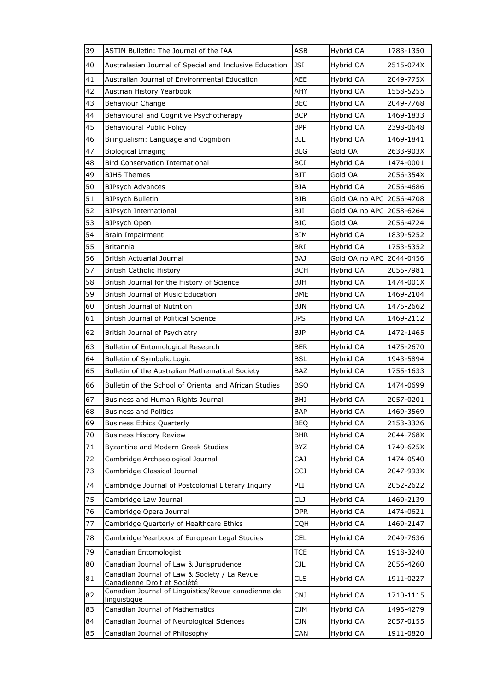| 39     | ASTIN Bulletin: The Journal of the IAA                                      | <b>ASB</b> | Hybrid OA                | 1783-1350 |
|--------|-----------------------------------------------------------------------------|------------|--------------------------|-----------|
| 40     | Australasian Journal of Special and Inclusive Education                     | JSI        | Hybrid OA                | 2515-074X |
| 41     | Australian Journal of Environmental Education                               | AEE        | Hybrid OA                | 2049-775X |
| 42     | Austrian History Yearbook                                                   | AHY        | Hybrid OA                | 1558-5255 |
| 43     | <b>Behaviour Change</b>                                                     | BEC        | Hybrid OA                | 2049-7768 |
| 44     | Behavioural and Cognitive Psychotherapy                                     | <b>BCP</b> | Hybrid OA                | 1469-1833 |
| 45     | Behavioural Public Policy                                                   | <b>BPP</b> | Hybrid OA                | 2398-0648 |
| 46     | Bilingualism: Language and Cognition                                        | BIL        | Hybrid OA                | 1469-1841 |
| 47     | <b>Biological Imaging</b>                                                   | <b>BLG</b> | Gold OA                  | 2633-903X |
| 48     | <b>Bird Conservation International</b>                                      | BCI        | Hybrid OA                | 1474-0001 |
| 49     | <b>BJHS Themes</b>                                                          | <b>BJT</b> | Gold OA                  | 2056-354X |
| 50     | <b>BJPsych Advances</b>                                                     | <b>BJA</b> | Hybrid OA                | 2056-4686 |
| 51     | <b>BJPsych Bulletin</b>                                                     | <b>BJB</b> | Gold OA no APC 2056-4708 |           |
| 52     | BJPsych International                                                       | BJI        | Gold OA no APC           | 2058-6264 |
| 53     | <b>BJPsych Open</b>                                                         | BJO        | Gold OA                  | 2056-4724 |
| 54     | Brain Impairment                                                            | <b>BIM</b> | Hybrid OA                | 1839-5252 |
| 55     | <b>Britannia</b>                                                            | <b>BRI</b> | Hybrid OA                | 1753-5352 |
| 56     | <b>British Actuarial Journal</b>                                            | BAJ        | Gold OA no APC 2044-0456 |           |
| 57     | <b>British Catholic History</b>                                             | <b>BCH</b> | Hybrid OA                | 2055-7981 |
| 58     | British Journal for the History of Science                                  | <b>BJH</b> | Hybrid OA                | 1474-001X |
| 59     | <b>British Journal of Music Education</b>                                   | BME        | Hybrid OA                | 1469-2104 |
| 60     | British Journal of Nutrition                                                | BJN        | Hybrid OA                | 1475-2662 |
| 61     | British Journal of Political Science                                        | <b>JPS</b> | Hybrid OA                | 1469-2112 |
| 62     | British Journal of Psychiatry                                               | <b>BJP</b> | Hybrid OA                | 1472-1465 |
| 63     | Bulletin of Entomological Research                                          | <b>BER</b> | Hybrid OA                | 1475-2670 |
| 64     | Bulletin of Symbolic Logic                                                  | <b>BSL</b> | Hybrid OA                | 1943-5894 |
| 65     | Bulletin of the Australian Mathematical Society                             | BAZ        | Hybrid OA                | 1755-1633 |
| 66     | Bulletin of the School of Oriental and African Studies                      | <b>BSO</b> | Hybrid OA                | 1474-0699 |
| 67     | Business and Human Rights Journal                                           | <b>BHJ</b> | Hybrid OA                | 2057-0201 |
| 68     | Business and Politics                                                       | <b>BAP</b> | Hybrid OA                | 1469-3569 |
| 69     | <b>Business Ethics Quarterly</b>                                            | <b>BEQ</b> | Hybrid OA                | 2153-3326 |
| 70     | <b>Business History Review</b>                                              | <b>BHR</b> | Hybrid OA                | 2044-768X |
| $71\,$ | Byzantine and Modern Greek Studies                                          | <b>BYZ</b> | Hybrid OA                | 1749-625X |
| 72     | Cambridge Archaeological Journal                                            | <b>CAJ</b> | Hybrid OA                | 1474-0540 |
| 73     | Cambridge Classical Journal                                                 | <b>CCJ</b> | Hybrid OA                | 2047-993X |
| 74     | Cambridge Journal of Postcolonial Literary Inquiry                          | PLI        | Hybrid OA                | 2052-2622 |
| 75     | Cambridge Law Journal                                                       | <b>CLJ</b> | Hybrid OA                | 1469-2139 |
| 76     | Cambridge Opera Journal                                                     | <b>OPR</b> | Hybrid OA                | 1474-0621 |
| 77     | Cambridge Quarterly of Healthcare Ethics                                    | CQH        | Hybrid OA                | 1469-2147 |
| 78     | Cambridge Yearbook of European Legal Studies                                | CEL        | Hybrid OA                | 2049-7636 |
| 79     | Canadian Entomologist                                                       | <b>TCE</b> | Hybrid OA                | 1918-3240 |
| 80     | Canadian Journal of Law & Jurisprudence                                     | CJL        | Hybrid OA                | 2056-4260 |
| 81     | Canadian Journal of Law & Society / La Revue<br>Canadienne Droit et Société | <b>CLS</b> | Hybrid OA                | 1911-0227 |
| 82     | Canadian Journal of Linguistics/Revue canadienne de<br><i>linguistique</i>  | <b>CNJ</b> | Hybrid OA                | 1710-1115 |
| 83     | Canadian Journal of Mathematics                                             | CJM        | Hybrid OA                | 1496-4279 |
| 84     | Canadian Journal of Neurological Sciences                                   | <b>CJN</b> | Hybrid OA                | 2057-0155 |
| 85     | Canadian Journal of Philosophy                                              | CAN        | Hybrid OA                | 1911-0820 |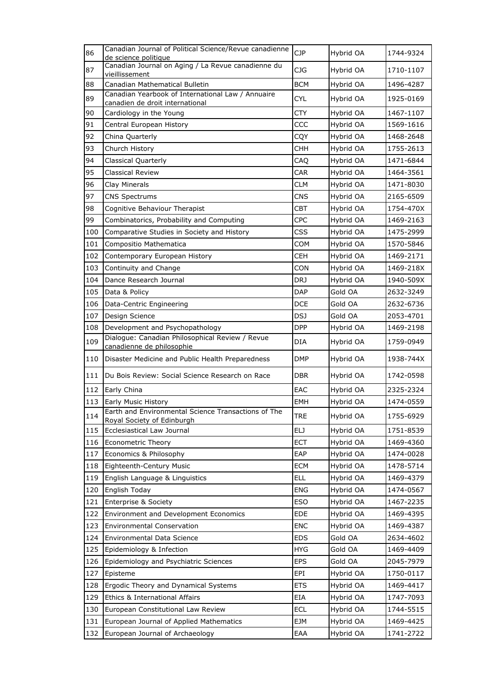| 86  | Canadian Journal of Political Science/Revue canadienne<br>de science politique    | <b>CJP</b> | Hybrid OA | 1744-9324 |
|-----|-----------------------------------------------------------------------------------|------------|-----------|-----------|
| 87  | Canadian Journal on Aging / La Revue canadienne du                                | CJG        | Hybrid OA | 1710-1107 |
| 88  | <u>vieillissement</u><br>Canadian Mathematical Bulletin                           | <b>BCM</b> | Hybrid OA | 1496-4287 |
|     | Canadian Yearbook of International Law / Annuaire                                 |            |           |           |
| 89  | canadien de droit international                                                   | <b>CYL</b> | Hybrid OA | 1925-0169 |
| 90  | Cardiology in the Young                                                           | CTY        | Hybrid OA | 1467-1107 |
| 91  | Central European History                                                          | CCC        | Hybrid OA | 1569-1616 |
| 92  | China Quarterly                                                                   | CQY        | Hybrid OA | 1468-2648 |
| 93  | <b>CHH</b><br>Church History                                                      |            | Hybrid OA | 1755-2613 |
| 94  | CAQ<br><b>Classical Quarterly</b>                                                 |            | Hybrid OA | 1471-6844 |
| 95  | Classical Review                                                                  | <b>CAR</b> | Hybrid OA | 1464-3561 |
| 96  | Clay Minerals                                                                     | CLM        | Hybrid OA | 1471-8030 |
| 97  | <b>CNS Spectrums</b>                                                              | <b>CNS</b> | Hybrid OA | 2165-6509 |
| 98  | Cognitive Behaviour Therapist                                                     | <b>CBT</b> | Hybrid OA | 1754-470X |
| 99  | Combinatorics, Probability and Computing                                          | <b>CPC</b> | Hybrid OA | 1469-2163 |
| 100 | Comparative Studies in Society and History                                        | <b>CSS</b> | Hybrid OA | 1475-2999 |
| 101 | Compositio Mathematica                                                            | COM        | Hybrid OA | 1570-5846 |
| 102 | Contemporary European History                                                     | CEH        | Hybrid OA | 1469-2171 |
| 103 | Continuity and Change                                                             | CON        | Hybrid OA | 1469-218X |
| 104 | Dance Research Journal                                                            | DRJ        | Hybrid OA | 1940-509X |
| 105 | Data & Policy                                                                     | DAP        | Gold OA   | 2632-3249 |
| 106 | Data-Centric Engineering<br>DCE                                                   |            | Gold OA   | 2632-6736 |
| 107 | Design Science                                                                    | DSJ        | Gold OA   | 2053-4701 |
| 108 | Development and Psychopathology                                                   | <b>DPP</b> | Hybrid OA | 1469-2198 |
| 109 | Dialogue: Canadian Philosophical Review / Revue<br>canadienne de philosophie      | DIA        | Hybrid OA | 1759-0949 |
| 110 | Disaster Medicine and Public Health Preparedness                                  | <b>DMP</b> | Hybrid OA | 1938-744X |
| 111 | Du Bois Review: Social Science Research on Race                                   | DBR        | Hybrid OA | 1742-0598 |
| 112 | Early China                                                                       | EAC        | Hybrid OA | 2325-2324 |
| 113 | Early Music History                                                               | EMH        | Hybrid OA | 1474-0559 |
| 114 | Earth and Environmental Science Transactions of The<br>Royal Society of Edinburgh | TRE        | Hybrid OA | 1755-6929 |
| 115 | Ecclesiastical Law Journal                                                        | ELJ        | Hybrid OA | 1751-8539 |
| 116 | Econometric Theory                                                                | ECT        | Hybrid OA | 1469-4360 |
| 117 | Economics & Philosophy                                                            | EAP        | Hybrid OA | 1474-0028 |
| 118 | Eighteenth-Century Music                                                          | <b>ECM</b> | Hybrid OA | 1478-5714 |
| 119 | English Language & Linguistics                                                    | <b>ELL</b> | Hybrid OA | 1469-4379 |
| 120 | English Today                                                                     | <b>ENG</b> | Hybrid OA | 1474-0567 |
| 121 | Enterprise & Society                                                              | ESO        | Hybrid OA | 1467-2235 |
| 122 | Environment and Development Economics                                             | <b>EDE</b> | Hybrid OA | 1469-4395 |
| 123 | <b>Environmental Conservation</b>                                                 | ENC        | Hybrid OA | 1469-4387 |
| 124 | <b>Environmental Data Science</b>                                                 | <b>EDS</b> | Gold OA   | 2634-4602 |
| 125 | Epidemiology & Infection                                                          | <b>HYG</b> | Gold OA   | 1469-4409 |
| 126 | Epidemiology and Psychiatric Sciences                                             | EPS        | Gold OA   | 2045-7979 |
| 127 | Episteme                                                                          | EPI        | Hybrid OA | 1750-0117 |
| 128 | Ergodic Theory and Dynamical Systems                                              | <b>ETS</b> | Hybrid OA | 1469-4417 |
| 129 | Ethics & International Affairs                                                    | EIA        | Hybrid OA | 1747-7093 |
| 130 | European Constitutional Law Review                                                | ECL        | Hybrid OA | 1744-5515 |
| 131 | European Journal of Applied Mathematics                                           | EJM        | Hybrid OA | 1469-4425 |
| 132 | European Journal of Archaeology                                                   | EAA        | Hybrid OA | 1741-2722 |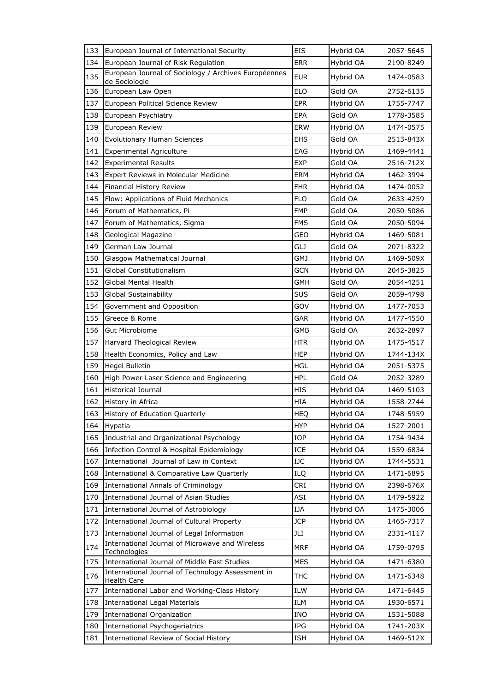| 133 | European Journal of International Security                              | <b>EIS</b> | Hybrid OA | 2057-5645 |
|-----|-------------------------------------------------------------------------|------------|-----------|-----------|
| 134 | European Journal of Risk Regulation                                     | <b>ERR</b> | Hybrid OA | 2190-8249 |
| 135 | European Journal of Sociology / Archives Européennes<br>de Sociologie   | <b>EUR</b> | Hybrid OA | 1474-0583 |
| 136 | European Law Open                                                       | <b>ELO</b> | Gold OA   | 2752-6135 |
| 137 | European Political Science Review                                       | <b>EPR</b> | Hybrid OA | 1755-7747 |
| 138 | European Psychiatry                                                     | EPA        | Gold OA   | 1778-3585 |
| 139 | European Review                                                         | <b>ERW</b> | Hybrid OA | 1474-0575 |
| 140 | <b>Evolutionary Human Sciences</b>                                      | <b>EHS</b> | Gold OA   | 2513-843X |
| 141 | <b>Experimental Agriculture</b>                                         | EAG        | Hybrid OA | 1469-4441 |
| 142 | <b>Experimental Results</b>                                             | <b>EXP</b> | Gold OA   | 2516-712X |
| 143 | Expert Reviews in Molecular Medicine                                    | ERM        | Hybrid OA | 1462-3994 |
| 144 | Financial History Review                                                | <b>FHR</b> | Hybrid OA | 1474-0052 |
| 145 | Flow: Applications of Fluid Mechanics                                   | <b>FLO</b> | Gold OA   | 2633-4259 |
| 146 | Forum of Mathematics, Pi                                                | <b>FMP</b> | Gold OA   | 2050-5086 |
| 147 | Forum of Mathematics, Sigma                                             | FMS        | Gold OA   | 2050-5094 |
| 148 | Geological Magazine                                                     | GEO        | Hybrid OA | 1469-5081 |
| 149 | German Law Journal                                                      | GLJ        | Gold OA   | 2071-8322 |
| 150 | Glasgow Mathematical Journal                                            | GMJ        | Hybrid OA | 1469-509X |
| 151 | Global Constitutionalism                                                | <b>GCN</b> | Hybrid OA | 2045-3825 |
| 152 | Global Mental Health                                                    | GMH        | Gold OA   | 2054-4251 |
| 153 | <b>Global Sustainability</b>                                            | <b>SUS</b> | Gold OA   | 2059-4798 |
| 154 | Government and Opposition                                               |            | Hybrid OA | 1477-7053 |
| 155 | Greece & Rome                                                           | GAR        | Hybrid OA | 1477-4550 |
| 156 | Gut Microbiome                                                          | <b>GMB</b> | Gold OA   | 2632-2897 |
| 157 | Harvard Theological Review                                              | HTR        | Hybrid OA | 1475-4517 |
| 158 | Health Economics, Policy and Law                                        | <b>HEP</b> | Hybrid OA | 1744-134X |
| 159 | Hegel Bulletin                                                          | <b>HGL</b> | Hybrid OA | 2051-5375 |
| 160 | High Power Laser Science and Engineering                                | HPL        | Gold OA   | 2052-3289 |
| 161 | <b>Historical Journal</b>                                               | <b>HIS</b> | Hybrid OA | 1469-5103 |
| 162 | History in Africa                                                       | HIA        | Hybrid OA | 1558-2744 |
| 163 | History of Education Quarterly                                          | <b>HEQ</b> | Hybrid OA | 1748-5959 |
| 164 | Hypatia                                                                 | <b>HYP</b> | Hybrid OA | 1527-2001 |
| 165 | Industrial and Organizational Psychology                                | IOP        | Hybrid OA | 1754-9434 |
| 166 | Infection Control & Hospital Epidemiology                               | ICE        | Hybrid OA | 1559-6834 |
| 167 | International Journal of Law in Context                                 | IJC        | Hybrid OA | 1744-5531 |
| 168 | International & Comparative Law Quarterly                               | ILQ        | Hybrid OA | 1471-6895 |
| 169 | <b>International Annals of Criminology</b>                              | CRI        | Hybrid OA | 2398-676X |
| 170 | International Journal of Asian Studies                                  | ASI        | Hybrid OA | 1479-5922 |
| 171 | International Journal of Astrobiology                                   | IJA        | Hybrid OA | 1475-3006 |
| 172 | International Journal of Cultural Property                              | <b>JCP</b> | Hybrid OA | 1465-7317 |
| 173 | International Journal of Legal Information                              | JLI        | Hybrid OA | 2331-4117 |
| 174 | International Journal of Microwave and Wireless<br>Technologies         | <b>MRF</b> | Hybrid OA | 1759-0795 |
| 175 | International Journal of Middle East Studies                            | <b>MES</b> | Hybrid OA | 1471-6380 |
| 176 | International Journal of Technology Assessment in<br><b>Health Care</b> | THC        | Hybrid OA | 1471-6348 |
| 177 | International Labor and Working-Class History                           | ILW        | Hybrid OA | 1471-6445 |
| 178 | <b>International Legal Materials</b>                                    | ILM        | Hybrid OA | 1930-6571 |
| 179 | International Organization                                              | <b>INO</b> | Hybrid OA | 1531-5088 |
| 180 | <b>International Psychogeriatrics</b>                                   | IPG        | Hybrid OA | 1741-203X |
| 181 | International Review of Social History                                  | ISH        | Hybrid OA | 1469-512X |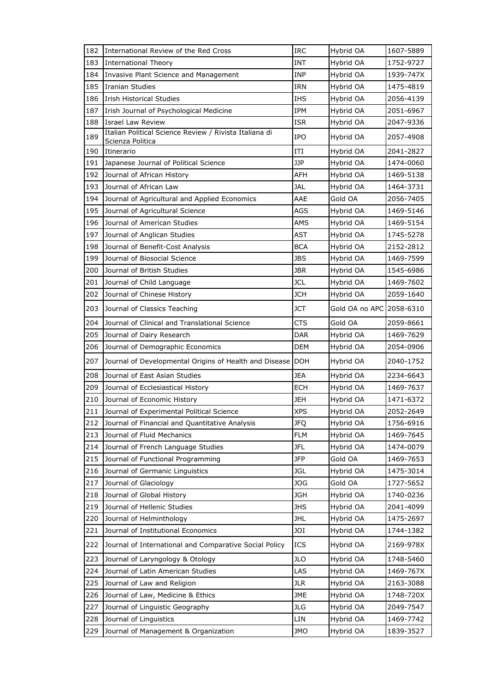| 182 | International Review of the Red Cross                                      | <b>IRC</b> | Hybrid OA                | 1607-5889 |
|-----|----------------------------------------------------------------------------|------------|--------------------------|-----------|
| 183 | <b>International Theory</b>                                                | <b>INT</b> | Hybrid OA                | 1752-9727 |
| 184 | Invasive Plant Science and Management                                      | INP        | Hybrid OA                | 1939-747X |
| 185 | <b>Iranian Studies</b>                                                     | IRN        | Hybrid OA                | 1475-4819 |
| 186 | <b>Irish Historical Studies</b>                                            | <b>IHS</b> | Hybrid OA                | 2056-4139 |
| 187 | Irish Journal of Psychological Medicine                                    | IPM        | Hybrid OA                | 2051-6967 |
| 188 | Israel Law Review                                                          | ISR        | Hybrid OA                | 2047-9336 |
| 189 | Italian Political Science Review / Rivista Italiana di<br>Scienza Politica | IPO        | Hybrid OA                | 2057-4908 |
| 190 | Itinerario                                                                 | ITI        | Hybrid OA                | 2041-2827 |
| 191 | Japanese Journal of Political Science                                      | JJP        | Hybrid OA                | 1474-0060 |
| 192 | Journal of African History                                                 | AFH        | Hybrid OA                | 1469-5138 |
| 193 | Journal of African Law                                                     | <b>JAL</b> | Hybrid OA                | 1464-3731 |
| 194 | Journal of Agricultural and Applied Economics                              | AAE        | Gold OA                  | 2056-7405 |
| 195 | Journal of Agricultural Science                                            | <b>AGS</b> | Hybrid OA                | 1469-5146 |
| 196 | Journal of American Studies                                                | AMS        | Hybrid OA                | 1469-5154 |
| 197 | Journal of Anglican Studies                                                | <b>AST</b> | Hybrid OA                | 1745-5278 |
| 198 | Journal of Benefit-Cost Analysis                                           | <b>BCA</b> | Hybrid OA                | 2152-2812 |
| 199 | Journal of Biosocial Science                                               | JBS        | Hybrid OA                | 1469-7599 |
| 200 | Journal of British Studies                                                 | JBR        | Hybrid OA                | 1545-6986 |
| 201 | Journal of Child Language                                                  | <b>JCL</b> | Hybrid OA                | 1469-7602 |
| 202 | Journal of Chinese History                                                 | <b>JCH</b> | Hybrid OA                | 2059-1640 |
| 203 | Journal of Classics Teaching                                               | JCT        | Gold OA no APC 2058-6310 |           |
| 204 | Journal of Clinical and Translational Science                              | CTS        | Gold OA                  | 2059-8661 |
| 205 | Journal of Dairy Research                                                  | DAR        | Hybrid OA                | 1469-7629 |
| 206 | Journal of Demographic Economics                                           | DEM        | Hybrid OA                | 2054-0906 |
| 207 | Journal of Developmental Origins of Health and Disease                     | DOH        | Hybrid OA                | 2040-1752 |
| 208 | Journal of East Asian Studies                                              | JEA        | Hybrid OA                | 2234-6643 |
| 209 | Journal of Ecclesiastical History                                          | ECH        | Hybrid OA                | 1469-7637 |
| 210 | Journal of Economic History                                                | JEH        | Hybrid OA                | 1471-6372 |
| 211 | Journal of Experimental Political Science                                  | <b>XPS</b> | Hybrid OA                | 2052-2649 |
| 212 | Journal of Financial and Quantitative Analysis                             | <b>JFQ</b> | Hybrid OA                | 1756-6916 |
| 213 | Journal of Fluid Mechanics                                                 | <b>FLM</b> | Hybrid OA                | 1469-7645 |
| 214 | Journal of French Language Studies                                         | JFL        | Hybrid OA                | 1474-0079 |
| 215 | Journal of Functional Programming                                          | <b>JFP</b> | Gold OA                  | 1469-7653 |
| 216 | Journal of Germanic Linguistics                                            | <b>JGL</b> | Hybrid OA                | 1475-3014 |
| 217 | Journal of Glaciology                                                      | JOG        | Gold OA                  | 1727-5652 |
| 218 | Journal of Global History                                                  | JGH        | Hybrid OA                | 1740-0236 |
| 219 | Journal of Hellenic Studies                                                | <b>JHS</b> | Hybrid OA                | 2041-4099 |
| 220 | Journal of Helminthology                                                   | <b>JHL</b> | Hybrid OA                | 1475-2697 |
| 221 | Journal of Institutional Economics                                         | JOI        | Hybrid OA                | 1744-1382 |
| 222 | Journal of International and Comparative Social Policy                     | <b>ICS</b> | Hybrid OA                | 2169-978X |
| 223 | Journal of Laryngology & Otology                                           | JLO        | Hybrid OA                | 1748-5460 |
| 224 | Journal of Latin American Studies                                          | LAS        | Hybrid OA                | 1469-767X |
| 225 | Journal of Law and Religion                                                | <b>JLR</b> | Hybrid OA                | 2163-3088 |
| 226 | Journal of Law, Medicine & Ethics                                          | JME        | Hybrid OA                | 1748-720X |
| 227 | Journal of Linguistic Geography                                            | JLG        | Hybrid OA                | 2049-7547 |
| 228 | Journal of Linguistics                                                     | LIN        | Hybrid OA                | 1469-7742 |
| 229 | Journal of Management & Organization                                       | JMO        | Hybrid OA                | 1839-3527 |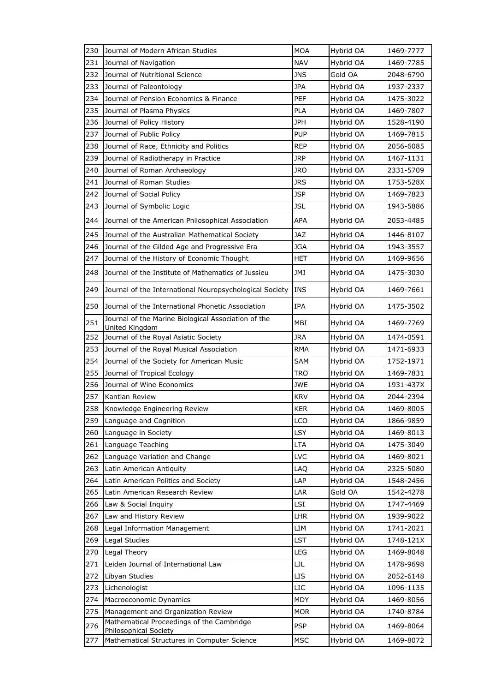| 230        | Journal of Modern African Studies                                           | <b>MOA</b> | Hybrid OA            | 1469-7777              |
|------------|-----------------------------------------------------------------------------|------------|----------------------|------------------------|
| 231        | Journal of Navigation                                                       | <b>NAV</b> | Hybrid OA            | 1469-7785              |
| 232        | Journal of Nutritional Science                                              | <b>JNS</b> | Gold OA              | 2048-6790              |
| 233        | Journal of Paleontology                                                     | <b>JPA</b> | Hybrid OA            | 1937-2337              |
| 234        | Journal of Pension Economics & Finance                                      | <b>PEF</b> | Hybrid OA            | 1475-3022              |
| 235        | Journal of Plasma Physics                                                   | <b>PLA</b> | Hybrid OA            | 1469-7807              |
| 236        | Journal of Policy History                                                   | <b>JPH</b> | Hybrid OA            | 1528-4190              |
| 237        | Journal of Public Policy                                                    | <b>PUP</b> | Hybrid OA            | 1469-7815              |
| 238        | Journal of Race, Ethnicity and Politics                                     | <b>REP</b> | Hybrid OA            | 2056-6085              |
| 239        | Journal of Radiotherapy in Practice                                         | <b>JRP</b> | Hybrid OA            | 1467-1131              |
| 240        | Journal of Roman Archaeology                                                | <b>JRO</b> | Hybrid OA            | 2331-5709              |
| 241        | Journal of Roman Studies                                                    | <b>JRS</b> | Hybrid OA            | 1753-528X              |
| 242        | Journal of Social Policy                                                    | <b>JSP</b> | Hybrid OA            | 1469-7823              |
| 243        | Journal of Symbolic Logic                                                   | <b>JSL</b> | Hybrid OA            | 1943-5886              |
| 244        | Journal of the American Philosophical Association                           | <b>APA</b> | Hybrid OA            | 2053-4485              |
| 245        | Journal of the Australian Mathematical Society                              | <b>JAZ</b> | Hybrid OA            | 1446-8107              |
| 246        | Journal of the Gilded Age and Progressive Era                               | <b>JGA</b> | Hybrid OA            | 1943-3557              |
| 247        | Journal of the History of Economic Thought                                  | HET        | Hybrid OA            | 1469-9656              |
| 248        | Journal of the Institute of Mathematics of Jussieu                          | JMJ        | Hybrid OA            | 1475-3030              |
| 249        | Journal of the International Neuropsychological Society                     | <b>INS</b> | Hybrid OA            | 1469-7661              |
| 250        | Journal of the International Phonetic Association                           | <b>IPA</b> | Hybrid OA            | 1475-3502              |
| 251        | Journal of the Marine Biological Association of the<br>United Kingdom       | MBI        | Hybrid OA            | 1469-7769              |
| 252        | Journal of the Royal Asiatic Society                                        | JRA        | Hybrid OA            | 1474-0591              |
| 253        | Journal of the Royal Musical Association                                    | <b>RMA</b> | Hybrid OA            | 1471-6933              |
| 254        | Journal of the Society for American Music                                   | <b>SAM</b> | Hybrid OA            | 1752-1971              |
| 255        | Journal of Tropical Ecology                                                 | <b>TRO</b> | Hybrid OA            | 1469-7831              |
| 256        | Journal of Wine Economics                                                   | <b>JWE</b> | Hybrid OA            | 1931-437X              |
| 257        | Kantian Review                                                              | <b>KRV</b> | Hybrid OA            | 2044-2394              |
| 258        | Knowledge Engineering Review                                                | <b>KER</b> | Hybrid OA            | 1469-8005              |
| 259        | Language and Cognition                                                      | LCO        | Hybrid OA            | 1866-9859              |
| 260        | Language in Society                                                         | <b>LSY</b> | Hybrid OA            | 1469-8013              |
| 261        | Language Teaching                                                           | <b>LTA</b> | Hybrid OA            | 1475-3049              |
| 262        | Language Variation and Change                                               | LVC        | Hybrid OA            | 1469-8021              |
| 263        | Latin American Antiquity                                                    | LAQ        | Hybrid OA            | 2325-5080              |
| 264<br>265 | Latin American Politics and Society<br>Latin American Research Review       | LAP        | Hybrid OA<br>Gold OA | 1548-2456              |
| 266        |                                                                             | LAR<br>LSI | Hybrid OA            | 1542-4278<br>1747-4469 |
| 267        | Law & Social Inquiry<br>Law and History Review                              | <b>LHR</b> | Hybrid OA            | 1939-9022              |
| 268        | Legal Information Management                                                | LIM        | Hybrid OA            | 1741-2021              |
| 269        | Legal Studies                                                               | LST        | Hybrid OA            | 1748-121X              |
| 270        | Legal Theory                                                                | LEG        | Hybrid OA            | 1469-8048              |
| 271        | Leiden Journal of International Law                                         | LJL        | Hybrid OA            | 1478-9698              |
| 272        | Libyan Studies                                                              | <b>LIS</b> | Hybrid OA            | 2052-6148              |
| 273        | Lichenologist                                                               | LIC        | Hybrid OA            | 1096-1135              |
| 274        | Macroeconomic Dynamics                                                      | MDY        | Hybrid OA            | 1469-8056              |
| 275        | Management and Organization Review                                          | <b>MOR</b> | Hybrid OA            | 1740-8784              |
| 276        | Mathematical Proceedings of the Cambridge                                   | <b>PSP</b> | Hybrid OA            | 1469-8064              |
| 277        | <b>Philosophical Society</b><br>Mathematical Structures in Computer Science | <b>MSC</b> | Hybrid OA            | 1469-8072              |
|            |                                                                             |            |                      |                        |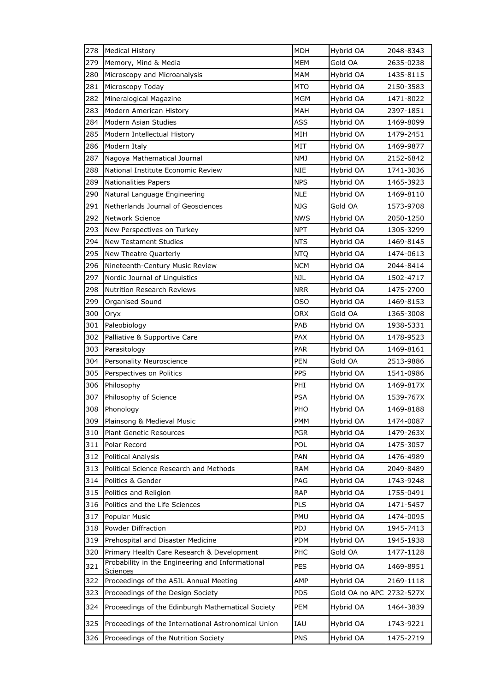| 278 | <b>Medical History</b>                                       | <b>MDH</b> | Hybrid OA      | 2048-8343 |
|-----|--------------------------------------------------------------|------------|----------------|-----------|
| 279 | Memory, Mind & Media                                         | <b>MEM</b> | Gold OA        | 2635-0238 |
| 280 | Microscopy and Microanalysis                                 | MAM        | Hybrid OA      | 1435-8115 |
| 281 | Microscopy Today                                             | <b>MTO</b> | Hybrid OA      | 2150-3583 |
| 282 | Mineralogical Magazine                                       | <b>MGM</b> | Hybrid OA      | 1471-8022 |
| 283 | Modern American History                                      | MAH        | Hybrid OA      | 2397-1851 |
| 284 | Modern Asian Studies                                         | <b>ASS</b> | Hybrid OA      | 1469-8099 |
| 285 | Modern Intellectual History                                  | MIH        | Hybrid OA      | 1479-2451 |
| 286 | Modern Italy                                                 | MIT        | Hybrid OA      | 1469-9877 |
| 287 | Nagoya Mathematical Journal                                  | NMJ        | Hybrid OA      | 2152-6842 |
| 288 | National Institute Economic Review                           | <b>NIE</b> | Hybrid OA      | 1741-3036 |
| 289 | <b>Nationalities Papers</b>                                  | <b>NPS</b> | Hybrid OA      | 1465-3923 |
| 290 | Natural Language Engineering                                 | <b>NLE</b> | Hybrid OA      | 1469-8110 |
| 291 | Netherlands Journal of Geosciences                           | <b>NJG</b> | Gold OA        | 1573-9708 |
| 292 | Network Science                                              | <b>NWS</b> | Hybrid OA      | 2050-1250 |
| 293 | New Perspectives on Turkey                                   | <b>NPT</b> | Hybrid OA      | 1305-3299 |
| 294 | <b>New Testament Studies</b>                                 | <b>NTS</b> | Hybrid OA      | 1469-8145 |
| 295 | New Theatre Quarterly                                        | <b>NTQ</b> | Hybrid OA      | 1474-0613 |
| 296 | Nineteenth-Century Music Review                              | <b>NCM</b> | Hybrid OA      | 2044-8414 |
| 297 | Nordic Journal of Linguistics                                | NJL        | Hybrid OA      | 1502-4717 |
| 298 | <b>Nutrition Research Reviews</b>                            | <b>NRR</b> | Hybrid OA      | 1475-2700 |
| 299 | Organised Sound                                              | oso        | Hybrid OA      | 1469-8153 |
| 300 | Oryx                                                         | <b>ORX</b> | Gold OA        | 1365-3008 |
| 301 | Paleobiology                                                 | PAB        | Hybrid OA      | 1938-5331 |
| 302 | Palliative & Supportive Care                                 | <b>PAX</b> | Hybrid OA      | 1478-9523 |
| 303 | Parasitology                                                 | <b>PAR</b> | Hybrid OA      | 1469-8161 |
| 304 | Personality Neuroscience                                     | <b>PEN</b> | Gold OA        | 2513-9886 |
| 305 | Perspectives on Politics                                     | <b>PPS</b> | Hybrid OA      | 1541-0986 |
| 306 | Philosophy                                                   | PHI        | Hybrid OA      | 1469-817X |
| 307 | Philosophy of Science                                        | <b>PSA</b> | Hybrid OA      | 1539-767X |
| 308 | Phonology                                                    | PHO        | Hybrid OA      | 1469-8188 |
| 309 | Plainsong & Medieval Music                                   | <b>PMM</b> | Hybrid OA      | 1474-0087 |
| 310 | Plant Genetic Resources                                      | <b>PGR</b> | Hybrid OA      | 1479-263X |
| 311 | Polar Record                                                 | POL        | Hybrid OA      | 1475-3057 |
| 312 | <b>Political Analysis</b>                                    | PAN        | Hybrid OA      | 1476-4989 |
| 313 | Political Science Research and Methods                       | <b>RAM</b> | Hybrid OA      | 2049-8489 |
| 314 | Politics & Gender                                            | PAG        | Hybrid OA      | 1743-9248 |
| 315 | Politics and Religion                                        | <b>RAP</b> | Hybrid OA      | 1755-0491 |
| 316 | Politics and the Life Sciences                               | <b>PLS</b> | Hybrid OA      | 1471-5457 |
| 317 | Popular Music                                                | PMU        | Hybrid OA      | 1474-0095 |
| 318 | Powder Diffraction                                           | PDJ        | Hybrid OA      | 1945-7413 |
| 319 | Prehospital and Disaster Medicine                            | PDM        | Hybrid OA      | 1945-1938 |
| 320 | Primary Health Care Research & Development                   | PHC        | Gold OA        | 1477-1128 |
| 321 | Probability in the Engineering and Informational<br>Sciences | <b>PES</b> | Hybrid OA      | 1469-8951 |
| 322 | Proceedings of the ASIL Annual Meeting                       | AMP        | Hybrid OA      | 2169-1118 |
| 323 | Proceedings of the Design Society                            | PDS        | Gold OA no APC | 2732-527X |
| 324 | Proceedings of the Edinburgh Mathematical Society            | PEM        | Hybrid OA      | 1464-3839 |
| 325 | Proceedings of the International Astronomical Union          | IAU        | Hybrid OA      | 1743-9221 |
| 326 | Proceedings of the Nutrition Society                         | <b>PNS</b> | Hybrid OA      | 1475-2719 |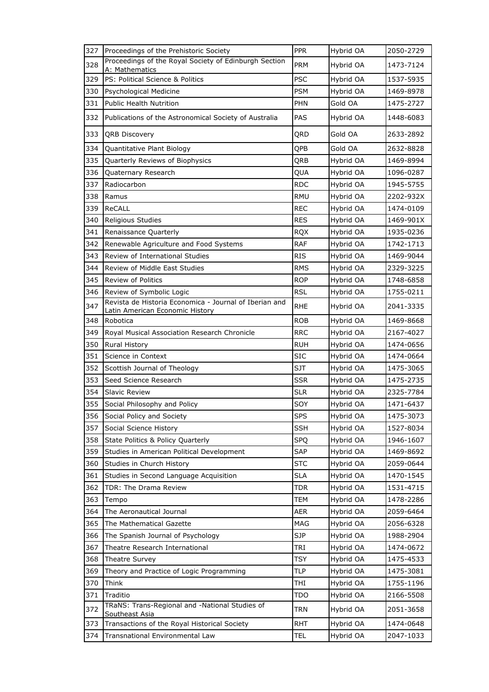| Proceedings of the Royal Society of Edinburgh Section<br>PRM<br>328<br>Hybrid OA<br>1473-7124<br>A: Mathematics<br>PS: Political Science & Politics<br><b>PSC</b><br>Hybrid OA<br>1537-5935<br>329<br><b>PSM</b><br>330<br>Hybrid OA<br>1469-8978<br>Psychological Medicine<br>331<br><b>Public Health Nutrition</b><br><b>PHN</b><br>Gold OA<br>1475-2727<br>332<br>Publications of the Astronomical Society of Australia<br><b>PAS</b><br>Hybrid OA<br>1448-6083<br>333<br>QRD<br>Gold OA<br>2633-2892<br><b>QRB Discovery</b><br>QPB<br>Gold OA<br>2632-8828<br>334<br>Quantitative Plant Biology<br>335<br>QRB<br>Hybrid OA<br>1469-8994<br>Quarterly Reviews of Biophysics<br>QUA<br>336<br>Quaternary Research<br>Hybrid OA<br>1096-0287<br>337<br>Radiocarbon<br><b>RDC</b><br>Hybrid OA<br>1945-5755<br>338<br><b>RMU</b><br>Hybrid OA<br>2202-932X<br>Ramus<br>339<br>ReCALL<br><b>REC</b><br>Hybrid OA<br>1474-0109<br>340<br><b>RES</b><br>Hybrid OA<br>1469-901X<br>Religious Studies<br>341<br><b>RQX</b><br>Hybrid OA<br>1935-0236<br>Renaissance Quarterly<br>342<br><b>RAF</b><br>Hybrid OA<br>1742-1713<br>Renewable Agriculture and Food Systems<br><b>RIS</b><br>1469-9044<br>343<br>Review of International Studies<br>Hybrid OA<br>Review of Middle East Studies<br><b>RMS</b><br>2329-3225<br>344<br>Hybrid OA<br><b>ROP</b><br>1748-6858<br>345<br><b>Review of Politics</b><br>Hybrid OA<br><b>RSL</b><br>346<br>Review of Symbolic Logic<br>Hybrid OA<br>1755-0211<br>Revista de Historia Economica - Journal of Iberian and<br>347<br><b>RHE</b><br>Hybrid OA<br>2041-3335<br>Latin American Economic History<br><b>ROB</b><br>1469-8668<br>348<br>Robotica<br>Hybrid OA<br>349<br><b>RRC</b><br>Hybrid OA<br>2167-4027<br>Royal Musical Association Research Chronicle<br>350<br><b>RUH</b><br>Hybrid OA<br>1474-0656<br><b>Rural History</b><br>351<br><b>SIC</b><br>Science in Context<br>Hybrid OA<br>1474-0664<br>352<br><b>SJT</b><br>Hybrid OA<br>Scottish Journal of Theology<br>1475-3065<br>353<br><b>SSR</b><br>Seed Science Research<br>Hybrid OA<br>1475-2735<br>354<br><b>Slavic Review</b><br><b>SLR</b><br>Hybrid OA<br>2325-7784<br>355<br>Hybrid OA<br>Social Philosophy and Policy<br>SOY<br>1471-6437<br>356<br>Social Policy and Society<br><b>SPS</b><br>Hybrid OA<br>1475-3073<br><b>SSH</b><br>357<br>Hybrid OA<br>1527-8034<br>Social Science History<br>358<br><b>SPQ</b><br>State Politics & Policy Quarterly<br>Hybrid OA<br>1946-1607<br>359<br>SAP<br>Studies in American Political Development<br>Hybrid OA<br>1469-8692<br><b>STC</b><br>Hybrid OA<br>2059-0644<br>360<br>Studies in Church History<br>361<br>Studies in Second Language Acquisition<br><b>SLA</b><br>Hybrid OA<br>1470-1545<br>362<br>TDR: The Drama Review<br>Hybrid OA<br>1531-4715<br>TDR<br>363<br>Tempo<br>TEM<br>Hybrid OA<br>1478-2286<br>364<br>The Aeronautical Journal<br>AER<br>2059-6464<br>Hybrid OA<br>365<br>The Mathematical Gazette<br>MAG<br>Hybrid OA<br>2056-6328<br><b>SJP</b><br>366<br>The Spanish Journal of Psychology<br>Hybrid OA<br>1988-2904<br>Theatre Research International<br>TRI<br>Hybrid OA<br>367<br>1474-0672<br>368<br>TSY<br>Hybrid OA<br>1475-4533<br><b>Theatre Survey</b><br>Theory and Practice of Logic Programming<br>TLP<br>Hybrid OA<br>369<br>1475-3081<br>370<br>Think<br>THI<br>Hybrid OA<br>1755-1196<br>371<br>Traditio<br><b>TDO</b><br>Hybrid OA<br>2166-5508<br>TRaNS: Trans-Regional and -National Studies of<br>372<br>TRN<br>Hybrid OA<br>2051-3658<br>Southeast Asia<br><b>RHT</b><br>Transactions of the Royal Historical Society<br>Hybrid OA<br>1474-0648<br>373 | 327 | Proceedings of the Prehistoric Society | <b>PPR</b> | Hybrid OA | 2050-2729 |
|------------------------------------------------------------------------------------------------------------------------------------------------------------------------------------------------------------------------------------------------------------------------------------------------------------------------------------------------------------------------------------------------------------------------------------------------------------------------------------------------------------------------------------------------------------------------------------------------------------------------------------------------------------------------------------------------------------------------------------------------------------------------------------------------------------------------------------------------------------------------------------------------------------------------------------------------------------------------------------------------------------------------------------------------------------------------------------------------------------------------------------------------------------------------------------------------------------------------------------------------------------------------------------------------------------------------------------------------------------------------------------------------------------------------------------------------------------------------------------------------------------------------------------------------------------------------------------------------------------------------------------------------------------------------------------------------------------------------------------------------------------------------------------------------------------------------------------------------------------------------------------------------------------------------------------------------------------------------------------------------------------------------------------------------------------------------------------------------------------------------------------------------------------------------------------------------------------------------------------------------------------------------------------------------------------------------------------------------------------------------------------------------------------------------------------------------------------------------------------------------------------------------------------------------------------------------------------------------------------------------------------------------------------------------------------------------------------------------------------------------------------------------------------------------------------------------------------------------------------------------------------------------------------------------------------------------------------------------------------------------------------------------------------------------------------------------------------------------------------------------------------------------------------------------------------------------------------------------------------------------------------------------------------------------------------------------------------------------------------------------------------------------------------------------------------------------------------------------------------------------------------------------------------------------------------------------------------------------------------------------------------------------------------|-----|----------------------------------------|------------|-----------|-----------|
|                                                                                                                                                                                                                                                                                                                                                                                                                                                                                                                                                                                                                                                                                                                                                                                                                                                                                                                                                                                                                                                                                                                                                                                                                                                                                                                                                                                                                                                                                                                                                                                                                                                                                                                                                                                                                                                                                                                                                                                                                                                                                                                                                                                                                                                                                                                                                                                                                                                                                                                                                                                                                                                                                                                                                                                                                                                                                                                                                                                                                                                                                                                                                                                                                                                                                                                                                                                                                                                                                                                                                                                                                                                            |     |                                        |            |           |           |
|                                                                                                                                                                                                                                                                                                                                                                                                                                                                                                                                                                                                                                                                                                                                                                                                                                                                                                                                                                                                                                                                                                                                                                                                                                                                                                                                                                                                                                                                                                                                                                                                                                                                                                                                                                                                                                                                                                                                                                                                                                                                                                                                                                                                                                                                                                                                                                                                                                                                                                                                                                                                                                                                                                                                                                                                                                                                                                                                                                                                                                                                                                                                                                                                                                                                                                                                                                                                                                                                                                                                                                                                                                                            |     |                                        |            |           |           |
|                                                                                                                                                                                                                                                                                                                                                                                                                                                                                                                                                                                                                                                                                                                                                                                                                                                                                                                                                                                                                                                                                                                                                                                                                                                                                                                                                                                                                                                                                                                                                                                                                                                                                                                                                                                                                                                                                                                                                                                                                                                                                                                                                                                                                                                                                                                                                                                                                                                                                                                                                                                                                                                                                                                                                                                                                                                                                                                                                                                                                                                                                                                                                                                                                                                                                                                                                                                                                                                                                                                                                                                                                                                            |     |                                        |            |           |           |
|                                                                                                                                                                                                                                                                                                                                                                                                                                                                                                                                                                                                                                                                                                                                                                                                                                                                                                                                                                                                                                                                                                                                                                                                                                                                                                                                                                                                                                                                                                                                                                                                                                                                                                                                                                                                                                                                                                                                                                                                                                                                                                                                                                                                                                                                                                                                                                                                                                                                                                                                                                                                                                                                                                                                                                                                                                                                                                                                                                                                                                                                                                                                                                                                                                                                                                                                                                                                                                                                                                                                                                                                                                                            |     |                                        |            |           |           |
|                                                                                                                                                                                                                                                                                                                                                                                                                                                                                                                                                                                                                                                                                                                                                                                                                                                                                                                                                                                                                                                                                                                                                                                                                                                                                                                                                                                                                                                                                                                                                                                                                                                                                                                                                                                                                                                                                                                                                                                                                                                                                                                                                                                                                                                                                                                                                                                                                                                                                                                                                                                                                                                                                                                                                                                                                                                                                                                                                                                                                                                                                                                                                                                                                                                                                                                                                                                                                                                                                                                                                                                                                                                            |     |                                        |            |           |           |
|                                                                                                                                                                                                                                                                                                                                                                                                                                                                                                                                                                                                                                                                                                                                                                                                                                                                                                                                                                                                                                                                                                                                                                                                                                                                                                                                                                                                                                                                                                                                                                                                                                                                                                                                                                                                                                                                                                                                                                                                                                                                                                                                                                                                                                                                                                                                                                                                                                                                                                                                                                                                                                                                                                                                                                                                                                                                                                                                                                                                                                                                                                                                                                                                                                                                                                                                                                                                                                                                                                                                                                                                                                                            |     |                                        |            |           |           |
|                                                                                                                                                                                                                                                                                                                                                                                                                                                                                                                                                                                                                                                                                                                                                                                                                                                                                                                                                                                                                                                                                                                                                                                                                                                                                                                                                                                                                                                                                                                                                                                                                                                                                                                                                                                                                                                                                                                                                                                                                                                                                                                                                                                                                                                                                                                                                                                                                                                                                                                                                                                                                                                                                                                                                                                                                                                                                                                                                                                                                                                                                                                                                                                                                                                                                                                                                                                                                                                                                                                                                                                                                                                            |     |                                        |            |           |           |
|                                                                                                                                                                                                                                                                                                                                                                                                                                                                                                                                                                                                                                                                                                                                                                                                                                                                                                                                                                                                                                                                                                                                                                                                                                                                                                                                                                                                                                                                                                                                                                                                                                                                                                                                                                                                                                                                                                                                                                                                                                                                                                                                                                                                                                                                                                                                                                                                                                                                                                                                                                                                                                                                                                                                                                                                                                                                                                                                                                                                                                                                                                                                                                                                                                                                                                                                                                                                                                                                                                                                                                                                                                                            |     |                                        |            |           |           |
|                                                                                                                                                                                                                                                                                                                                                                                                                                                                                                                                                                                                                                                                                                                                                                                                                                                                                                                                                                                                                                                                                                                                                                                                                                                                                                                                                                                                                                                                                                                                                                                                                                                                                                                                                                                                                                                                                                                                                                                                                                                                                                                                                                                                                                                                                                                                                                                                                                                                                                                                                                                                                                                                                                                                                                                                                                                                                                                                                                                                                                                                                                                                                                                                                                                                                                                                                                                                                                                                                                                                                                                                                                                            |     |                                        |            |           |           |
|                                                                                                                                                                                                                                                                                                                                                                                                                                                                                                                                                                                                                                                                                                                                                                                                                                                                                                                                                                                                                                                                                                                                                                                                                                                                                                                                                                                                                                                                                                                                                                                                                                                                                                                                                                                                                                                                                                                                                                                                                                                                                                                                                                                                                                                                                                                                                                                                                                                                                                                                                                                                                                                                                                                                                                                                                                                                                                                                                                                                                                                                                                                                                                                                                                                                                                                                                                                                                                                                                                                                                                                                                                                            |     |                                        |            |           |           |
|                                                                                                                                                                                                                                                                                                                                                                                                                                                                                                                                                                                                                                                                                                                                                                                                                                                                                                                                                                                                                                                                                                                                                                                                                                                                                                                                                                                                                                                                                                                                                                                                                                                                                                                                                                                                                                                                                                                                                                                                                                                                                                                                                                                                                                                                                                                                                                                                                                                                                                                                                                                                                                                                                                                                                                                                                                                                                                                                                                                                                                                                                                                                                                                                                                                                                                                                                                                                                                                                                                                                                                                                                                                            |     |                                        |            |           |           |
|                                                                                                                                                                                                                                                                                                                                                                                                                                                                                                                                                                                                                                                                                                                                                                                                                                                                                                                                                                                                                                                                                                                                                                                                                                                                                                                                                                                                                                                                                                                                                                                                                                                                                                                                                                                                                                                                                                                                                                                                                                                                                                                                                                                                                                                                                                                                                                                                                                                                                                                                                                                                                                                                                                                                                                                                                                                                                                                                                                                                                                                                                                                                                                                                                                                                                                                                                                                                                                                                                                                                                                                                                                                            |     |                                        |            |           |           |
|                                                                                                                                                                                                                                                                                                                                                                                                                                                                                                                                                                                                                                                                                                                                                                                                                                                                                                                                                                                                                                                                                                                                                                                                                                                                                                                                                                                                                                                                                                                                                                                                                                                                                                                                                                                                                                                                                                                                                                                                                                                                                                                                                                                                                                                                                                                                                                                                                                                                                                                                                                                                                                                                                                                                                                                                                                                                                                                                                                                                                                                                                                                                                                                                                                                                                                                                                                                                                                                                                                                                                                                                                                                            |     |                                        |            |           |           |
|                                                                                                                                                                                                                                                                                                                                                                                                                                                                                                                                                                                                                                                                                                                                                                                                                                                                                                                                                                                                                                                                                                                                                                                                                                                                                                                                                                                                                                                                                                                                                                                                                                                                                                                                                                                                                                                                                                                                                                                                                                                                                                                                                                                                                                                                                                                                                                                                                                                                                                                                                                                                                                                                                                                                                                                                                                                                                                                                                                                                                                                                                                                                                                                                                                                                                                                                                                                                                                                                                                                                                                                                                                                            |     |                                        |            |           |           |
|                                                                                                                                                                                                                                                                                                                                                                                                                                                                                                                                                                                                                                                                                                                                                                                                                                                                                                                                                                                                                                                                                                                                                                                                                                                                                                                                                                                                                                                                                                                                                                                                                                                                                                                                                                                                                                                                                                                                                                                                                                                                                                                                                                                                                                                                                                                                                                                                                                                                                                                                                                                                                                                                                                                                                                                                                                                                                                                                                                                                                                                                                                                                                                                                                                                                                                                                                                                                                                                                                                                                                                                                                                                            |     |                                        |            |           |           |
|                                                                                                                                                                                                                                                                                                                                                                                                                                                                                                                                                                                                                                                                                                                                                                                                                                                                                                                                                                                                                                                                                                                                                                                                                                                                                                                                                                                                                                                                                                                                                                                                                                                                                                                                                                                                                                                                                                                                                                                                                                                                                                                                                                                                                                                                                                                                                                                                                                                                                                                                                                                                                                                                                                                                                                                                                                                                                                                                                                                                                                                                                                                                                                                                                                                                                                                                                                                                                                                                                                                                                                                                                                                            |     |                                        |            |           |           |
|                                                                                                                                                                                                                                                                                                                                                                                                                                                                                                                                                                                                                                                                                                                                                                                                                                                                                                                                                                                                                                                                                                                                                                                                                                                                                                                                                                                                                                                                                                                                                                                                                                                                                                                                                                                                                                                                                                                                                                                                                                                                                                                                                                                                                                                                                                                                                                                                                                                                                                                                                                                                                                                                                                                                                                                                                                                                                                                                                                                                                                                                                                                                                                                                                                                                                                                                                                                                                                                                                                                                                                                                                                                            |     |                                        |            |           |           |
|                                                                                                                                                                                                                                                                                                                                                                                                                                                                                                                                                                                                                                                                                                                                                                                                                                                                                                                                                                                                                                                                                                                                                                                                                                                                                                                                                                                                                                                                                                                                                                                                                                                                                                                                                                                                                                                                                                                                                                                                                                                                                                                                                                                                                                                                                                                                                                                                                                                                                                                                                                                                                                                                                                                                                                                                                                                                                                                                                                                                                                                                                                                                                                                                                                                                                                                                                                                                                                                                                                                                                                                                                                                            |     |                                        |            |           |           |
|                                                                                                                                                                                                                                                                                                                                                                                                                                                                                                                                                                                                                                                                                                                                                                                                                                                                                                                                                                                                                                                                                                                                                                                                                                                                                                                                                                                                                                                                                                                                                                                                                                                                                                                                                                                                                                                                                                                                                                                                                                                                                                                                                                                                                                                                                                                                                                                                                                                                                                                                                                                                                                                                                                                                                                                                                                                                                                                                                                                                                                                                                                                                                                                                                                                                                                                                                                                                                                                                                                                                                                                                                                                            |     |                                        |            |           |           |
|                                                                                                                                                                                                                                                                                                                                                                                                                                                                                                                                                                                                                                                                                                                                                                                                                                                                                                                                                                                                                                                                                                                                                                                                                                                                                                                                                                                                                                                                                                                                                                                                                                                                                                                                                                                                                                                                                                                                                                                                                                                                                                                                                                                                                                                                                                                                                                                                                                                                                                                                                                                                                                                                                                                                                                                                                                                                                                                                                                                                                                                                                                                                                                                                                                                                                                                                                                                                                                                                                                                                                                                                                                                            |     |                                        |            |           |           |
|                                                                                                                                                                                                                                                                                                                                                                                                                                                                                                                                                                                                                                                                                                                                                                                                                                                                                                                                                                                                                                                                                                                                                                                                                                                                                                                                                                                                                                                                                                                                                                                                                                                                                                                                                                                                                                                                                                                                                                                                                                                                                                                                                                                                                                                                                                                                                                                                                                                                                                                                                                                                                                                                                                                                                                                                                                                                                                                                                                                                                                                                                                                                                                                                                                                                                                                                                                                                                                                                                                                                                                                                                                                            |     |                                        |            |           |           |
|                                                                                                                                                                                                                                                                                                                                                                                                                                                                                                                                                                                                                                                                                                                                                                                                                                                                                                                                                                                                                                                                                                                                                                                                                                                                                                                                                                                                                                                                                                                                                                                                                                                                                                                                                                                                                                                                                                                                                                                                                                                                                                                                                                                                                                                                                                                                                                                                                                                                                                                                                                                                                                                                                                                                                                                                                                                                                                                                                                                                                                                                                                                                                                                                                                                                                                                                                                                                                                                                                                                                                                                                                                                            |     |                                        |            |           |           |
|                                                                                                                                                                                                                                                                                                                                                                                                                                                                                                                                                                                                                                                                                                                                                                                                                                                                                                                                                                                                                                                                                                                                                                                                                                                                                                                                                                                                                                                                                                                                                                                                                                                                                                                                                                                                                                                                                                                                                                                                                                                                                                                                                                                                                                                                                                                                                                                                                                                                                                                                                                                                                                                                                                                                                                                                                                                                                                                                                                                                                                                                                                                                                                                                                                                                                                                                                                                                                                                                                                                                                                                                                                                            |     |                                        |            |           |           |
|                                                                                                                                                                                                                                                                                                                                                                                                                                                                                                                                                                                                                                                                                                                                                                                                                                                                                                                                                                                                                                                                                                                                                                                                                                                                                                                                                                                                                                                                                                                                                                                                                                                                                                                                                                                                                                                                                                                                                                                                                                                                                                                                                                                                                                                                                                                                                                                                                                                                                                                                                                                                                                                                                                                                                                                                                                                                                                                                                                                                                                                                                                                                                                                                                                                                                                                                                                                                                                                                                                                                                                                                                                                            |     |                                        |            |           |           |
|                                                                                                                                                                                                                                                                                                                                                                                                                                                                                                                                                                                                                                                                                                                                                                                                                                                                                                                                                                                                                                                                                                                                                                                                                                                                                                                                                                                                                                                                                                                                                                                                                                                                                                                                                                                                                                                                                                                                                                                                                                                                                                                                                                                                                                                                                                                                                                                                                                                                                                                                                                                                                                                                                                                                                                                                                                                                                                                                                                                                                                                                                                                                                                                                                                                                                                                                                                                                                                                                                                                                                                                                                                                            |     |                                        |            |           |           |
|                                                                                                                                                                                                                                                                                                                                                                                                                                                                                                                                                                                                                                                                                                                                                                                                                                                                                                                                                                                                                                                                                                                                                                                                                                                                                                                                                                                                                                                                                                                                                                                                                                                                                                                                                                                                                                                                                                                                                                                                                                                                                                                                                                                                                                                                                                                                                                                                                                                                                                                                                                                                                                                                                                                                                                                                                                                                                                                                                                                                                                                                                                                                                                                                                                                                                                                                                                                                                                                                                                                                                                                                                                                            |     |                                        |            |           |           |
|                                                                                                                                                                                                                                                                                                                                                                                                                                                                                                                                                                                                                                                                                                                                                                                                                                                                                                                                                                                                                                                                                                                                                                                                                                                                                                                                                                                                                                                                                                                                                                                                                                                                                                                                                                                                                                                                                                                                                                                                                                                                                                                                                                                                                                                                                                                                                                                                                                                                                                                                                                                                                                                                                                                                                                                                                                                                                                                                                                                                                                                                                                                                                                                                                                                                                                                                                                                                                                                                                                                                                                                                                                                            |     |                                        |            |           |           |
|                                                                                                                                                                                                                                                                                                                                                                                                                                                                                                                                                                                                                                                                                                                                                                                                                                                                                                                                                                                                                                                                                                                                                                                                                                                                                                                                                                                                                                                                                                                                                                                                                                                                                                                                                                                                                                                                                                                                                                                                                                                                                                                                                                                                                                                                                                                                                                                                                                                                                                                                                                                                                                                                                                                                                                                                                                                                                                                                                                                                                                                                                                                                                                                                                                                                                                                                                                                                                                                                                                                                                                                                                                                            |     |                                        |            |           |           |
|                                                                                                                                                                                                                                                                                                                                                                                                                                                                                                                                                                                                                                                                                                                                                                                                                                                                                                                                                                                                                                                                                                                                                                                                                                                                                                                                                                                                                                                                                                                                                                                                                                                                                                                                                                                                                                                                                                                                                                                                                                                                                                                                                                                                                                                                                                                                                                                                                                                                                                                                                                                                                                                                                                                                                                                                                                                                                                                                                                                                                                                                                                                                                                                                                                                                                                                                                                                                                                                                                                                                                                                                                                                            |     |                                        |            |           |           |
|                                                                                                                                                                                                                                                                                                                                                                                                                                                                                                                                                                                                                                                                                                                                                                                                                                                                                                                                                                                                                                                                                                                                                                                                                                                                                                                                                                                                                                                                                                                                                                                                                                                                                                                                                                                                                                                                                                                                                                                                                                                                                                                                                                                                                                                                                                                                                                                                                                                                                                                                                                                                                                                                                                                                                                                                                                                                                                                                                                                                                                                                                                                                                                                                                                                                                                                                                                                                                                                                                                                                                                                                                                                            |     |                                        |            |           |           |
|                                                                                                                                                                                                                                                                                                                                                                                                                                                                                                                                                                                                                                                                                                                                                                                                                                                                                                                                                                                                                                                                                                                                                                                                                                                                                                                                                                                                                                                                                                                                                                                                                                                                                                                                                                                                                                                                                                                                                                                                                                                                                                                                                                                                                                                                                                                                                                                                                                                                                                                                                                                                                                                                                                                                                                                                                                                                                                                                                                                                                                                                                                                                                                                                                                                                                                                                                                                                                                                                                                                                                                                                                                                            |     |                                        |            |           |           |
|                                                                                                                                                                                                                                                                                                                                                                                                                                                                                                                                                                                                                                                                                                                                                                                                                                                                                                                                                                                                                                                                                                                                                                                                                                                                                                                                                                                                                                                                                                                                                                                                                                                                                                                                                                                                                                                                                                                                                                                                                                                                                                                                                                                                                                                                                                                                                                                                                                                                                                                                                                                                                                                                                                                                                                                                                                                                                                                                                                                                                                                                                                                                                                                                                                                                                                                                                                                                                                                                                                                                                                                                                                                            |     |                                        |            |           |           |
|                                                                                                                                                                                                                                                                                                                                                                                                                                                                                                                                                                                                                                                                                                                                                                                                                                                                                                                                                                                                                                                                                                                                                                                                                                                                                                                                                                                                                                                                                                                                                                                                                                                                                                                                                                                                                                                                                                                                                                                                                                                                                                                                                                                                                                                                                                                                                                                                                                                                                                                                                                                                                                                                                                                                                                                                                                                                                                                                                                                                                                                                                                                                                                                                                                                                                                                                                                                                                                                                                                                                                                                                                                                            |     |                                        |            |           |           |
|                                                                                                                                                                                                                                                                                                                                                                                                                                                                                                                                                                                                                                                                                                                                                                                                                                                                                                                                                                                                                                                                                                                                                                                                                                                                                                                                                                                                                                                                                                                                                                                                                                                                                                                                                                                                                                                                                                                                                                                                                                                                                                                                                                                                                                                                                                                                                                                                                                                                                                                                                                                                                                                                                                                                                                                                                                                                                                                                                                                                                                                                                                                                                                                                                                                                                                                                                                                                                                                                                                                                                                                                                                                            |     |                                        |            |           |           |
|                                                                                                                                                                                                                                                                                                                                                                                                                                                                                                                                                                                                                                                                                                                                                                                                                                                                                                                                                                                                                                                                                                                                                                                                                                                                                                                                                                                                                                                                                                                                                                                                                                                                                                                                                                                                                                                                                                                                                                                                                                                                                                                                                                                                                                                                                                                                                                                                                                                                                                                                                                                                                                                                                                                                                                                                                                                                                                                                                                                                                                                                                                                                                                                                                                                                                                                                                                                                                                                                                                                                                                                                                                                            |     |                                        |            |           |           |
|                                                                                                                                                                                                                                                                                                                                                                                                                                                                                                                                                                                                                                                                                                                                                                                                                                                                                                                                                                                                                                                                                                                                                                                                                                                                                                                                                                                                                                                                                                                                                                                                                                                                                                                                                                                                                                                                                                                                                                                                                                                                                                                                                                                                                                                                                                                                                                                                                                                                                                                                                                                                                                                                                                                                                                                                                                                                                                                                                                                                                                                                                                                                                                                                                                                                                                                                                                                                                                                                                                                                                                                                                                                            |     |                                        |            |           |           |
|                                                                                                                                                                                                                                                                                                                                                                                                                                                                                                                                                                                                                                                                                                                                                                                                                                                                                                                                                                                                                                                                                                                                                                                                                                                                                                                                                                                                                                                                                                                                                                                                                                                                                                                                                                                                                                                                                                                                                                                                                                                                                                                                                                                                                                                                                                                                                                                                                                                                                                                                                                                                                                                                                                                                                                                                                                                                                                                                                                                                                                                                                                                                                                                                                                                                                                                                                                                                                                                                                                                                                                                                                                                            |     |                                        |            |           |           |
|                                                                                                                                                                                                                                                                                                                                                                                                                                                                                                                                                                                                                                                                                                                                                                                                                                                                                                                                                                                                                                                                                                                                                                                                                                                                                                                                                                                                                                                                                                                                                                                                                                                                                                                                                                                                                                                                                                                                                                                                                                                                                                                                                                                                                                                                                                                                                                                                                                                                                                                                                                                                                                                                                                                                                                                                                                                                                                                                                                                                                                                                                                                                                                                                                                                                                                                                                                                                                                                                                                                                                                                                                                                            |     |                                        |            |           |           |
|                                                                                                                                                                                                                                                                                                                                                                                                                                                                                                                                                                                                                                                                                                                                                                                                                                                                                                                                                                                                                                                                                                                                                                                                                                                                                                                                                                                                                                                                                                                                                                                                                                                                                                                                                                                                                                                                                                                                                                                                                                                                                                                                                                                                                                                                                                                                                                                                                                                                                                                                                                                                                                                                                                                                                                                                                                                                                                                                                                                                                                                                                                                                                                                                                                                                                                                                                                                                                                                                                                                                                                                                                                                            |     |                                        |            |           |           |
|                                                                                                                                                                                                                                                                                                                                                                                                                                                                                                                                                                                                                                                                                                                                                                                                                                                                                                                                                                                                                                                                                                                                                                                                                                                                                                                                                                                                                                                                                                                                                                                                                                                                                                                                                                                                                                                                                                                                                                                                                                                                                                                                                                                                                                                                                                                                                                                                                                                                                                                                                                                                                                                                                                                                                                                                                                                                                                                                                                                                                                                                                                                                                                                                                                                                                                                                                                                                                                                                                                                                                                                                                                                            |     |                                        |            |           |           |
|                                                                                                                                                                                                                                                                                                                                                                                                                                                                                                                                                                                                                                                                                                                                                                                                                                                                                                                                                                                                                                                                                                                                                                                                                                                                                                                                                                                                                                                                                                                                                                                                                                                                                                                                                                                                                                                                                                                                                                                                                                                                                                                                                                                                                                                                                                                                                                                                                                                                                                                                                                                                                                                                                                                                                                                                                                                                                                                                                                                                                                                                                                                                                                                                                                                                                                                                                                                                                                                                                                                                                                                                                                                            |     |                                        |            |           |           |
|                                                                                                                                                                                                                                                                                                                                                                                                                                                                                                                                                                                                                                                                                                                                                                                                                                                                                                                                                                                                                                                                                                                                                                                                                                                                                                                                                                                                                                                                                                                                                                                                                                                                                                                                                                                                                                                                                                                                                                                                                                                                                                                                                                                                                                                                                                                                                                                                                                                                                                                                                                                                                                                                                                                                                                                                                                                                                                                                                                                                                                                                                                                                                                                                                                                                                                                                                                                                                                                                                                                                                                                                                                                            |     |                                        |            |           |           |
|                                                                                                                                                                                                                                                                                                                                                                                                                                                                                                                                                                                                                                                                                                                                                                                                                                                                                                                                                                                                                                                                                                                                                                                                                                                                                                                                                                                                                                                                                                                                                                                                                                                                                                                                                                                                                                                                                                                                                                                                                                                                                                                                                                                                                                                                                                                                                                                                                                                                                                                                                                                                                                                                                                                                                                                                                                                                                                                                                                                                                                                                                                                                                                                                                                                                                                                                                                                                                                                                                                                                                                                                                                                            |     |                                        |            |           |           |
|                                                                                                                                                                                                                                                                                                                                                                                                                                                                                                                                                                                                                                                                                                                                                                                                                                                                                                                                                                                                                                                                                                                                                                                                                                                                                                                                                                                                                                                                                                                                                                                                                                                                                                                                                                                                                                                                                                                                                                                                                                                                                                                                                                                                                                                                                                                                                                                                                                                                                                                                                                                                                                                                                                                                                                                                                                                                                                                                                                                                                                                                                                                                                                                                                                                                                                                                                                                                                                                                                                                                                                                                                                                            |     |                                        |            |           |           |
|                                                                                                                                                                                                                                                                                                                                                                                                                                                                                                                                                                                                                                                                                                                                                                                                                                                                                                                                                                                                                                                                                                                                                                                                                                                                                                                                                                                                                                                                                                                                                                                                                                                                                                                                                                                                                                                                                                                                                                                                                                                                                                                                                                                                                                                                                                                                                                                                                                                                                                                                                                                                                                                                                                                                                                                                                                                                                                                                                                                                                                                                                                                                                                                                                                                                                                                                                                                                                                                                                                                                                                                                                                                            |     |                                        |            |           |           |
|                                                                                                                                                                                                                                                                                                                                                                                                                                                                                                                                                                                                                                                                                                                                                                                                                                                                                                                                                                                                                                                                                                                                                                                                                                                                                                                                                                                                                                                                                                                                                                                                                                                                                                                                                                                                                                                                                                                                                                                                                                                                                                                                                                                                                                                                                                                                                                                                                                                                                                                                                                                                                                                                                                                                                                                                                                                                                                                                                                                                                                                                                                                                                                                                                                                                                                                                                                                                                                                                                                                                                                                                                                                            |     |                                        |            |           |           |
|                                                                                                                                                                                                                                                                                                                                                                                                                                                                                                                                                                                                                                                                                                                                                                                                                                                                                                                                                                                                                                                                                                                                                                                                                                                                                                                                                                                                                                                                                                                                                                                                                                                                                                                                                                                                                                                                                                                                                                                                                                                                                                                                                                                                                                                                                                                                                                                                                                                                                                                                                                                                                                                                                                                                                                                                                                                                                                                                                                                                                                                                                                                                                                                                                                                                                                                                                                                                                                                                                                                                                                                                                                                            | 374 | Transnational Environmental Law        | TEL        | Hybrid OA | 2047-1033 |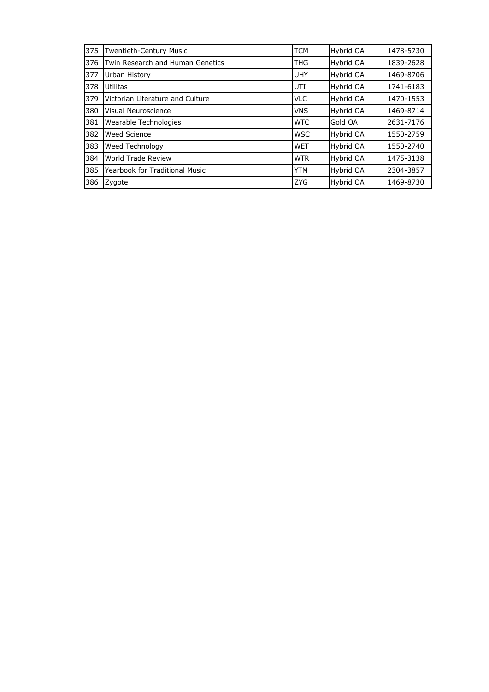| 375 | Twentieth-Century Music               | <b>TCM</b> | Hybrid OA | 1478-5730 |
|-----|---------------------------------------|------------|-----------|-----------|
| 376 | Twin Research and Human Genetics      | <b>THG</b> | Hybrid OA | 1839-2628 |
| 377 | Urban History                         | UHY        | Hybrid OA | 1469-8706 |
| 378 | Utilitas                              | UTI        | Hybrid OA | 1741-6183 |
| 379 | Victorian Literature and Culture      | <b>VLC</b> | Hybrid OA | 1470-1553 |
| 380 | Visual Neuroscience                   | <b>VNS</b> | Hybrid OA | 1469-8714 |
| 381 | Wearable Technologies                 | <b>WTC</b> | Gold OA   | 2631-7176 |
| 382 | <b>Weed Science</b>                   | <b>WSC</b> | Hybrid OA | 1550-2759 |
| 383 | Weed Technology                       | <b>WET</b> | Hybrid OA | 1550-2740 |
| 384 | World Trade Review                    | <b>WTR</b> | Hybrid OA | 1475-3138 |
| 385 | <b>Yearbook for Traditional Music</b> | <b>YTM</b> | Hybrid OA | 2304-3857 |
| 386 | Zygote                                | <b>ZYG</b> | Hybrid OA | 1469-8730 |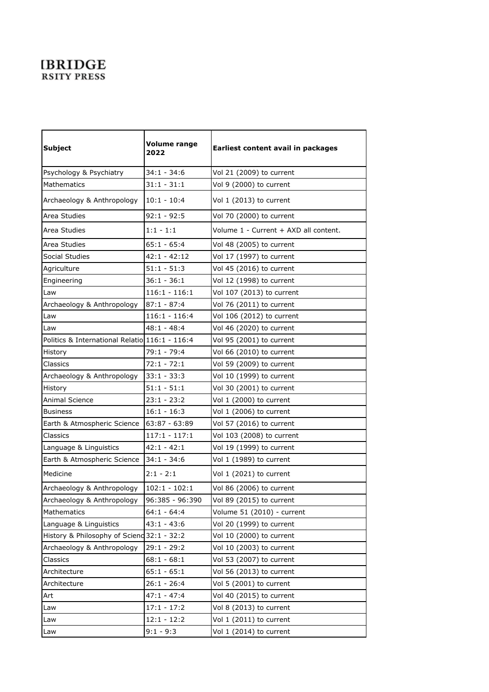## **IBRIDGE RSITY PRESS**

| <b>Subject</b>                                 | <b>Volume range</b><br>2022 | Earliest content avail in packages    |
|------------------------------------------------|-----------------------------|---------------------------------------|
| Psychology & Psychiatry                        | $34:1 - 34:6$               | Vol 21 (2009) to current              |
| Mathematics                                    | $31:1 - 31:1$               | Vol 9 (2000) to current               |
| Archaeology & Anthropology                     | $10:1 - 10:4$               | Vol 1 (2013) to current               |
| Area Studies                                   | $92:1 - 92:5$               | Vol 70 (2000) to current              |
| Area Studies                                   | $1:1 - 1:1$                 | Volume 1 - Current + AXD all content. |
| Area Studies                                   | $65:1 - 65:4$               | Vol 48 (2005) to current              |
| Social Studies                                 | $42:1 - 42:12$              | Vol 17 (1997) to current              |
| Agriculture                                    | $51:1 - 51:3$               | Vol 45 (2016) to current              |
| Engineering                                    | $36:1 - 36:1$               | Vol 12 (1998) to current              |
| Law                                            | $116:1 - 116:1$             | Vol 107 (2013) to current             |
| Archaeology & Anthropology                     | $87:1 - 87:4$               | Vol 76 (2011) to current              |
| Law                                            | $116:1 - 116:4$             | Vol 106 (2012) to current             |
| Law                                            | $48:1 - 48:4$               | Vol 46 (2020) to current              |
| Politics & International Relatio 116:1 - 116:4 |                             | Vol 95 (2001) to current              |
| History                                        | 79:1 - 79:4                 | Vol 66 (2010) to current              |
| Classics                                       | $72:1 - 72:1$               | Vol 59 (2009) to current              |
| Archaeology & Anthropology                     | $33:1 - 33:3$               | Vol 10 (1999) to current              |
| History                                        | $51:1 - 51:1$               | Vol 30 (2001) to current              |
| Animal Science                                 | $23:1 - 23:2$               | Vol 1 (2000) to current               |
| <b>Business</b>                                | $16:1 - 16:3$               | Vol 1 (2006) to current               |
| Earth & Atmospheric Science                    | 63:87 - 63:89               | Vol 57 (2016) to current              |
| Classics                                       | $117:1 - 117:1$             | Vol 103 (2008) to current             |
| Language & Linguistics                         | $42:1 - 42:1$               | Vol 19 (1999) to current              |
| Earth & Atmospheric Science                    | $34:1 - 34:6$               | Vol 1 (1989) to current               |
| Medicine                                       | $2:1 - 2:1$                 | Vol 1 (2021) to current               |
| Archaeology & Anthropology                     | $102:1 - 102:1$             | Vol 86 (2006) to current              |
| Archaeology & Anthropology                     | 96:385 - 96:390             | Vol 89 (2015) to current              |
| Mathematics                                    | $64:1 - 64:4$               | Volume 51 (2010) - current            |
| Language & Linguistics                         | $43:1 - 43:6$               | Vol 20 (1999) to current              |
| History & Philosophy of Sciend 32:1 - 32:2     |                             | Vol 10 (2000) to current              |
| Archaeology & Anthropology                     | $29:1 - 29:2$               | Vol 10 (2003) to current              |
| Classics                                       | $68:1 - 68:1$               | Vol 53 (2007) to current              |
| Architecture                                   | $65:1 - 65:1$               | Vol 56 (2013) to current              |
| Architecture                                   | $26:1 - 26:4$               | Vol 5 (2001) to current               |
| Art                                            | $47:1 - 47:4$               | Vol 40 (2015) to current              |
| Law                                            | $17:1 - 17:2$               | Vol 8 (2013) to current               |
| Law                                            | $12:1 - 12:2$               | Vol 1 (2011) to current               |
| Law                                            | $9:1 - 9:3$                 | Vol 1 (2014) to current               |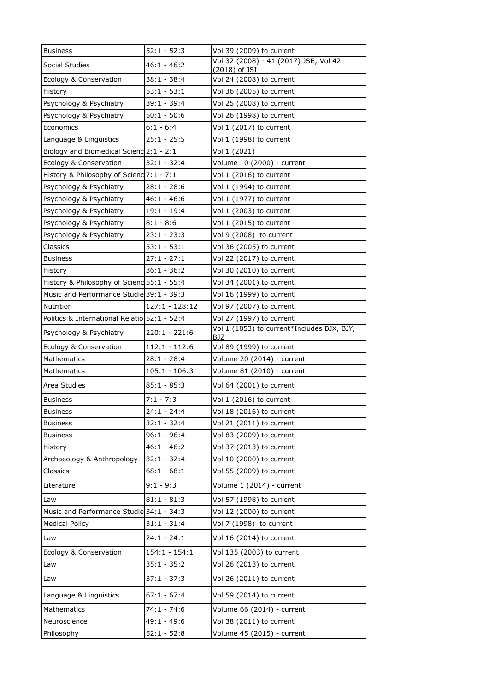| <b>Business</b>                              | $52:1 - 52:3$    | Vol 39 (2009) to current                                 |
|----------------------------------------------|------------------|----------------------------------------------------------|
| Social Studies                               | $46:1 - 46:2$    | Vol 32 (2008) - 41 (2017) JSE; Vol 42<br>(2018) of JSI   |
| Ecology & Conservation                       | $38:1 - 38:4$    | Vol 24 (2008) to current                                 |
| History                                      | $53:1 - 53:1$    | Vol 36 (2005) to current                                 |
| Psychology & Psychiatry                      | $39:1 - 39:4$    | Vol 25 (2008) to current                                 |
| Psychology & Psychiatry                      | $50:1 - 50:6$    | Vol 26 (1998) to current                                 |
| Economics                                    | $6:1 - 6:4$      | Vol 1 (2017) to current                                  |
| Language & Linguistics                       | $25:1 - 25:5$    | Vol 1 (1998) to current                                  |
| Biology and Biomedical Scienc 2:1 - 2:1      |                  | Vol 1 (2021)                                             |
| Ecology & Conservation                       | $32:1 - 32:4$    | Volume 10 (2000) - current                               |
| History & Philosophy of Sciend 7:1 - 7:1     |                  | Vol 1 (2016) to current                                  |
| Psychology & Psychiatry                      | $28:1 - 28:6$    | Vol 1 (1994) to current                                  |
| Psychology & Psychiatry                      | $46:1 - 46:6$    | Vol 1 (1977) to current                                  |
| Psychology & Psychiatry                      | $19:1 - 19:4$    | Vol 1 (2003) to current                                  |
| Psychology & Psychiatry                      | $8:1 - 8:6$      | Vol 1 (2015) to current                                  |
| Psychology & Psychiatry                      | $23:1 - 23:3$    | Vol 9 (2008) to current                                  |
| Classics                                     | $53:1 - 53:1$    | Vol 36 (2005) to current                                 |
| <b>Business</b>                              | $27:1 - 27:1$    | Vol 22 (2017) to current                                 |
| History                                      | $36:1 - 36:2$    | Vol 30 (2010) to current                                 |
| History & Philosophy of Sciend 55:1 - 55:4   |                  | Vol 34 (2001) to current                                 |
| Music and Performance Studie 39:1 - 39:3     |                  | Vol 16 (1999) to current                                 |
| Nutrition                                    | $127:1 - 128:12$ | Vol 97 (2007) to current                                 |
| Politics & International Relatio 52:1 - 52:4 |                  | Vol 27 (1997) to current                                 |
| Psychology & Psychiatry                      | $220:1 - 221:6$  | Vol 1 (1853) to current*Includes BJX, BJY,<br><b>BJZ</b> |
| Ecology & Conservation                       | $112:1 - 112:6$  | Vol 89 (1999) to current                                 |
| Mathematics                                  | $28:1 - 28:4$    | Volume 20 (2014) - current                               |
| Mathematics                                  | $105:1 - 106:3$  | Volume 81 (2010) - current                               |
| Area Studies                                 | $85:1 - 85:3$    | Vol 64 (2001) to current                                 |
| <b>Business</b>                              | $7:1 - 7:3$      | Vol 1 (2016) to current                                  |
| <b>Business</b>                              | $24:1 - 24:4$    | Vol 18 (2016) to current                                 |
| Business                                     | $32:1 - 32:4$    | Vol 21 (2011) to current                                 |
| <b>Business</b>                              | $96:1 - 96:4$    | Vol 83 (2009) to current                                 |
| History                                      | $46:1 - 46:2$    | Vol 37 (2013) to current                                 |
| Archaeology & Anthropology                   | $32:1 - 32:4$    | Vol 10 (2000) to current                                 |
| Classics                                     | $68:1 - 68:1$    | Vol 55 (2009) to current                                 |
| Literature                                   | $9:1 - 9:3$      | Volume 1 (2014) - current                                |
| Law                                          | $81:1 - 81:3$    | Vol 57 (1998) to current                                 |
| Music and Performance Studie 34:1 - 34:3     |                  | Vol 12 (2000) to current                                 |
| <b>Medical Policy</b>                        | $31:1 - 31:4$    | Vol 7 (1998) to current                                  |
| Law                                          | $24:1 - 24:1$    | Vol 16 (2014) to current                                 |
| Ecology & Conservation                       | $154:1 - 154:1$  | Vol 135 (2003) to current                                |
| Law                                          | $35:1 - 35:2$    | Vol 26 (2013) to current                                 |
| Law                                          | $37:1 - 37:3$    | Vol 26 (2011) to current                                 |
| Language & Linguistics                       | $67:1 - 67:4$    | Vol 59 (2014) to current                                 |
| Mathematics                                  |                  |                                                          |
|                                              | $74:1 - 74:6$    | Volume 66 (2014) - current                               |
| Neuroscience                                 | 49:1 - 49:6      | Vol 38 (2011) to current                                 |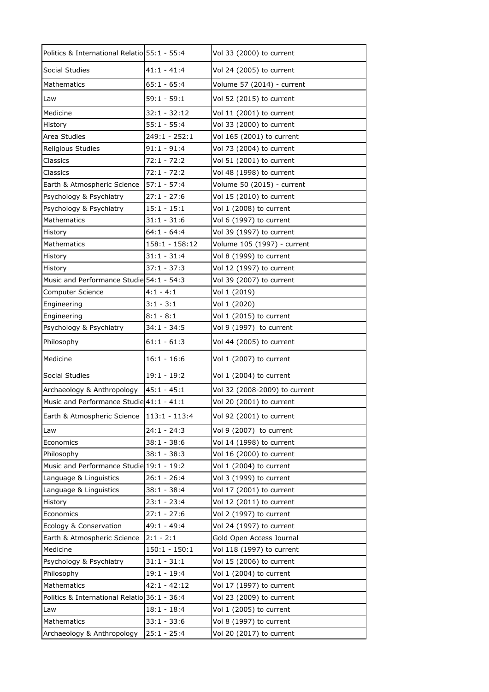| Politics & International Relatio 55:1 - 55:4 |                  | Vol 33 (2000) to current      |
|----------------------------------------------|------------------|-------------------------------|
| Social Studies                               | $41:1 - 41:4$    | Vol 24 (2005) to current      |
| <b>Mathematics</b>                           | $65:1 - 65:4$    | Volume 57 (2014) - current    |
| Law                                          | $59:1 - 59:1$    | Vol 52 (2015) to current      |
| Medicine                                     | $32:1 - 32:12$   | Vol 11 (2001) to current      |
| History                                      | $55:1 - 55:4$    | Vol 33 (2000) to current      |
| Area Studies                                 | 249:1 - 252:1    | Vol 165 (2001) to current     |
| Religious Studies                            | $91:1 - 91:4$    | Vol 73 (2004) to current      |
| Classics                                     | $72:1 - 72:2$    | Vol 51 (2001) to current      |
| Classics                                     | $72:1 - 72:2$    | Vol 48 (1998) to current      |
| Earth & Atmospheric Science                  | $57:1 - 57:4$    | Volume 50 (2015) - current    |
| Psychology & Psychiatry                      | $27:1 - 27:6$    | Vol 15 (2010) to current      |
| Psychology & Psychiatry                      | $15:1 - 15:1$    | Vol 1 (2008) to current       |
| <b>Mathematics</b>                           | $31:1 - 31:6$    | Vol 6 (1997) to current       |
| History                                      | $64:1 - 64:4$    | Vol 39 (1997) to current      |
| Mathematics                                  | $158:1 - 158:12$ | Volume 105 (1997) - current   |
| History                                      | $31:1 - 31:4$    | Vol 8 (1999) to current       |
| History                                      | $37:1 - 37:3$    | Vol 12 (1997) to current      |
| Music and Performance Studie 54:1 - 54:3     |                  | Vol 39 (2007) to current      |
| Computer Science                             | $4:1 - 4:1$      | Vol 1 (2019)                  |
| Engineering                                  | $3:1 - 3:1$      | Vol 1 (2020)                  |
| Engineering                                  | $8:1 - 8:1$      | Vol 1 (2015) to current       |
| Psychology & Psychiatry                      | $34:1 - 34:5$    | Vol 9 (1997) to current       |
| Philosophy                                   | $61:1 - 61:3$    | Vol 44 (2005) to current      |
| Medicine                                     | $16:1 - 16:6$    | Vol 1 (2007) to current       |
| Social Studies                               | $19:1 - 19:2$    | Vol 1 (2004) to current       |
| Archaeology & Anthropology                   | $45:1 - 45:1$    | Vol 32 (2008-2009) to current |
| Music and Performance Studie 41:1 - 41:1     |                  | Vol 20 (2001) to current      |
| Earth & Atmospheric Science   113:1 - 113:4  |                  | Vol 92 (2001) to current      |
| Law                                          | $24:1 - 24:3$    | Vol 9 (2007) to current       |
| Economics                                    | $38:1 - 38:6$    | Vol 14 (1998) to current      |
| Philosophy                                   | $38:1 - 38:3$    | Vol 16 (2000) to current      |
| Music and Performance Studie 19:1 - 19:2     |                  | Vol 1 (2004) to current       |
| Language & Linguistics                       | $26:1 - 26:4$    | Vol 3 (1999) to current       |
| Language & Linguistics                       | $38:1 - 38:4$    | Vol 17 (2001) to current      |
| History                                      | $23:1 - 23:4$    | Vol 12 (2011) to current      |
| Economics                                    | $27:1 - 27:6$    | Vol 2 (1997) to current       |
| Ecology & Conservation                       | 49:1 - 49:4      | Vol 24 (1997) to current      |
| Earth & Atmospheric Science                  | $2:1 - 2:1$      | Gold Open Access Journal      |
| Medicine                                     | $150:1 - 150:1$  | Vol 118 (1997) to current     |
| Psychology & Psychiatry                      | $31:1 - 31:1$    | Vol 15 (2006) to current      |
| Philosophy                                   | $19:1 - 19:4$    | Vol 1 (2004) to current       |
| Mathematics                                  | $42:1 - 42:12$   | Vol 17 (1997) to current      |
| Politics & International Relatio 36:1 - 36:4 |                  | Vol 23 (2009) to current      |
| Law                                          | $18:1 - 18:4$    | Vol 1 (2005) to current       |
| Mathematics                                  | $33:1 - 33:6$    | Vol 8 (1997) to current       |
| Archaeology & Anthropology                   | $25:1 - 25:4$    | Vol 20 (2017) to current      |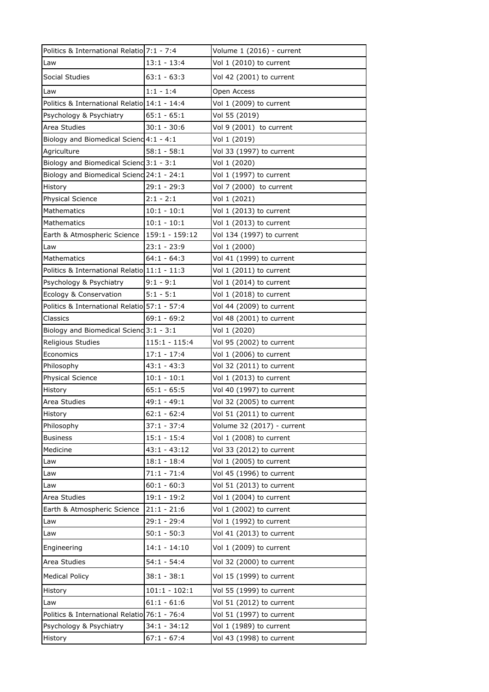| Politics & International Relatio 7:1 - 7:4   |                 | Volume 1 (2016) - current  |
|----------------------------------------------|-----------------|----------------------------|
| Law                                          | $13:1 - 13:4$   | Vol 1 (2010) to current    |
| Social Studies                               | $63:1 - 63:3$   | Vol 42 (2001) to current   |
| Law                                          | $1:1 - 1:4$     | Open Access                |
| Politics & International Relatio 14:1 - 14:4 |                 | Vol 1 (2009) to current    |
| Psychology & Psychiatry                      | $65:1 - 65:1$   | Vol 55 (2019)              |
| Area Studies                                 | $30:1 - 30:6$   | Vol 9 (2001) to current    |
| Biology and Biomedical Scienc 4:1 - 4:1      |                 | Vol 1 (2019)               |
| Agriculture                                  | $58:1 - 58:1$   | Vol 33 (1997) to current   |
| Biology and Biomedical Scienc 3:1 - 3:1      |                 | Vol 1 (2020)               |
| Biology and Biomedical Scienc 24:1 - 24:1    |                 | Vol 1 (1997) to current    |
| History                                      | $29:1 - 29:3$   | Vol 7 (2000) to current    |
| Physical Science                             | $2:1 - 2:1$     | Vol 1 (2021)               |
| <b>Mathematics</b>                           | $10:1 - 10:1$   | Vol 1 (2013) to current    |
| <b>Mathematics</b>                           | $10:1 - 10:1$   | Vol 1 (2013) to current    |
| Earth & Atmospheric Science                  | 159:1 - 159:12  | Vol 134 (1997) to current  |
| Law                                          | $23:1 - 23:9$   | Vol 1 (2000)               |
| <b>Mathematics</b>                           | $64:1 - 64:3$   | Vol 41 (1999) to current   |
| Politics & International Relatio 11:1 - 11:3 |                 | Vol 1 (2011) to current    |
| Psychology & Psychiatry                      | $9:1 - 9:1$     | Vol 1 (2014) to current    |
| Ecology & Conservation                       | $5:1 - 5:1$     | Vol 1 (2018) to current    |
| Politics & International Relatio 57:1 - 57:4 |                 | Vol 44 (2009) to current   |
| Classics                                     | $69:1 - 69:2$   | Vol 48 (2001) to current   |
| Biology and Biomedical Scienc 3:1 - 3:1      |                 | Vol 1 (2020)               |
| Religious Studies                            | $115:1 - 115:4$ | Vol 95 (2002) to current   |
| Economics                                    | $17:1 - 17:4$   | Vol 1 (2006) to current    |
| Philosophy                                   | 43:1 - 43:3     | Vol 32 (2011) to current   |
| Physical Science                             | $10:1 - 10:1$   | Vol 1 (2013) to current    |
| History                                      | $65:1 - 65:5$   | Vol 40 (1997) to current   |
| Area Studies                                 | 49:1 - 49:1     | Vol 32 (2005) to current   |
| History                                      | $62:1 - 62:4$   | Vol 51 (2011) to current   |
| Philosophy                                   | $37:1 - 37:4$   | Volume 32 (2017) - current |
| <b>Business</b>                              | $15:1 - 15:4$   | Vol 1 (2008) to current    |
| Medicine                                     | $43:1 - 43:12$  | Vol 33 (2012) to current   |
| Law                                          | $18:1 - 18:4$   | Vol 1 (2005) to current    |
| Law                                          | $71:1 - 71:4$   | Vol 45 (1996) to current   |
| Law                                          | $60:1 - 60:3$   | Vol 51 (2013) to current   |
| Area Studies                                 | $19:1 - 19:2$   | Vol 1 (2004) to current    |
| Earth & Atmospheric Science                  | $21:1 - 21:6$   | Vol 1 (2002) to current    |
| Law                                          | 29:1 - 29:4     | Vol 1 (1992) to current    |
| Law                                          | $50:1 - 50:3$   | Vol 41 (2013) to current   |
| Engineering                                  | $14:1 - 14:10$  | Vol 1 (2009) to current    |
|                                              |                 |                            |
| Area Studies                                 | $54:1 - 54:4$   | Vol 32 (2000) to current   |
| <b>Medical Policy</b>                        | $38:1 - 38:1$   | Vol 15 (1999) to current   |
| History                                      | $101:1 - 102:1$ | Vol 55 (1999) to current   |
| Law                                          | $61:1 - 61:6$   | Vol 51 (2012) to current   |
| Politics & International Relatio 76:1 - 76:4 |                 | Vol 51 (1997) to current   |
| Psychology & Psychiatry                      | 34:1 - 34:12    | Vol 1 (1989) to current    |
| History                                      | $67:1 - 67:4$   | Vol 43 (1998) to current   |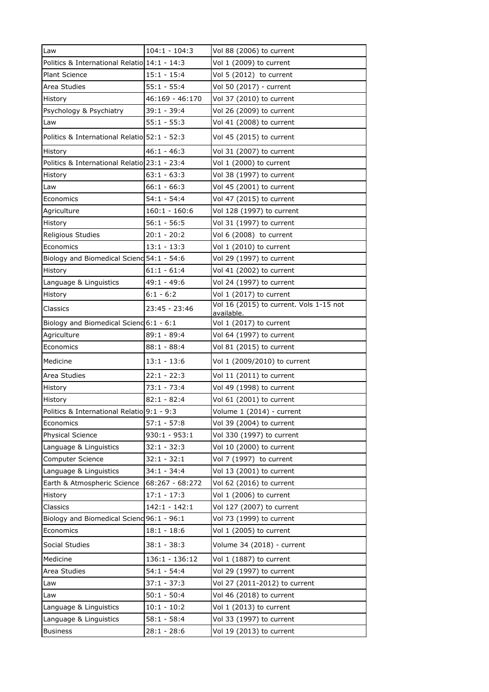| Law                                          | $104:1 - 104:3$  | Vol 88 (2006) to current                              |
|----------------------------------------------|------------------|-------------------------------------------------------|
| Politics & International Relatio 14:1 - 14:3 |                  | Vol 1 (2009) to current                               |
| <b>Plant Science</b>                         | $15:1 - 15:4$    | Vol 5 (2012) to current                               |
| Area Studies                                 | $55:1 - 55:4$    | Vol 50 (2017) - current                               |
| History                                      | 46:169 - 46:170  | Vol 37 (2010) to current                              |
| Psychology & Psychiatry                      | $39:1 - 39:4$    | Vol 26 (2009) to current                              |
| Law                                          | $55:1 - 55:3$    | Vol 41 (2008) to current                              |
| Politics & International Relatio 52:1 - 52:3 |                  | Vol 45 (2015) to current                              |
| History                                      | $46:1 - 46:3$    | Vol 31 (2007) to current                              |
| Politics & International Relatio 23:1 - 23:4 |                  | Vol 1 (2000) to current                               |
| History                                      | $63:1 - 63:3$    | Vol 38 (1997) to current                              |
| Law                                          | $66:1 - 66:3$    | Vol 45 (2001) to current                              |
| Economics                                    | $54:1 - 54:4$    | Vol 47 (2015) to current                              |
| Agriculture                                  | $160:1 - 160:6$  | Vol 128 (1997) to current                             |
| History                                      | $56:1 - 56:5$    | Vol 31 (1997) to current                              |
| Religious Studies                            | $20:1 - 20:2$    | Vol 6 (2008) to current                               |
| Economics                                    | $13:1 - 13:3$    | Vol 1 (2010) to current                               |
| Biology and Biomedical Scienc 54:1 - 54:6    |                  | Vol 29 (1997) to current                              |
| History                                      | $61:1 - 61:4$    | Vol 41 (2002) to current                              |
| Language & Linguistics                       | 49:1 - 49:6      | Vol 24 (1997) to current                              |
| History                                      | $6:1 - 6:2$      | Vol 1 (2017) to current                               |
| Classics                                     | 23:45 - 23:46    | Vol 16 (2015) to current. Vols 1-15 not<br>available. |
| Biology and Biomedical Scienc 6:1 - 6:1      |                  | Vol 1 (2017) to current                               |
| Agriculture                                  | $89:1 - 89:4$    | Vol 64 (1997) to current                              |
| Economics                                    | $88:1 - 88:4$    | Vol 81 (2015) to current                              |
| Medicine                                     | $13:1 - 13:6$    | Vol 1 (2009/2010) to current                          |
| Area Studies                                 | $22:1 - 22:3$    | Vol 11 (2011) to current                              |
| History                                      | $73:1 - 73:4$    | Vol 49 (1998) to current                              |
| History                                      | $82:1 - 82:4$    | Vol 61 (2001) to current                              |
| Politics & International Relatio 9:1 - 9:3   |                  | Volume 1 (2014) - current                             |
| Economics                                    | $57:1 - 57:8$    | Vol 39 (2004) to current                              |
| <b>Physical Science</b>                      | $930:1 - 953:1$  | Vol 330 (1997) to current                             |
| Language & Linguistics                       | $32:1 - 32:3$    | Vol 10 (2000) to current                              |
| Computer Science                             | $32:1 - 32:1$    | Vol 7 (1997) to current                               |
|                                              |                  |                                                       |
| Language & Linguistics                       | $34:1 - 34:4$    | Vol 13 (2001) to current                              |
| Earth & Atmospheric Science                  | 68:267 - 68:272  | Vol 62 (2016) to current                              |
| <b>History</b>                               | $17:1 - 17:3$    | Vol 1 (2006) to current                               |
| Classics                                     | $142:1 - 142:1$  | Vol 127 (2007) to current                             |
| Biology and Biomedical Scienc 96:1 - 96:1    |                  | Vol 73 (1999) to current                              |
| Economics                                    | $18:1 - 18:6$    | Vol 1 (2005) to current                               |
| Social Studies                               | $38:1 - 38:3$    | Volume 34 (2018) - current                            |
| Medicine                                     | $136:1 - 136:12$ | Vol 1 (1887) to current                               |
| Area Studies                                 | $54:1 - 54:4$    | Vol 29 (1997) to current                              |
| Law                                          | $37:1 - 37:3$    | Vol 27 (2011-2012) to current                         |
| Law                                          | $50:1 - 50:4$    | Vol 46 (2018) to current                              |
| Language & Linguistics                       | $10:1 - 10:2$    | Vol 1 (2013) to current                               |
| Language & Linguistics                       | $58:1 - 58:4$    | Vol 33 (1997) to current                              |
| <b>Business</b>                              | $28:1 - 28:6$    | Vol 19 (2013) to current                              |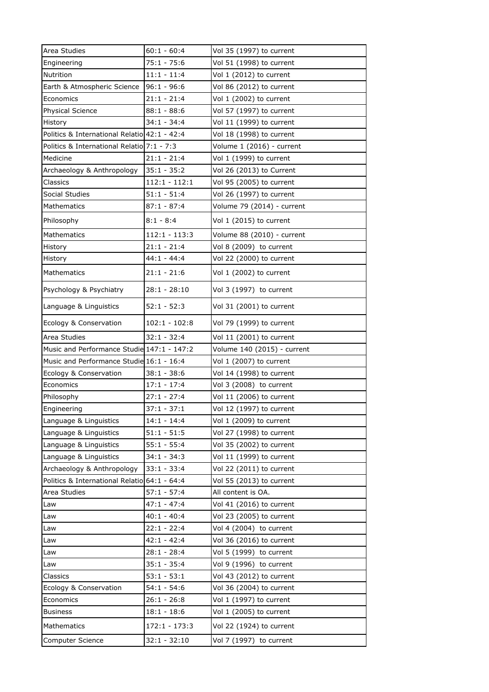| Area Studies                                 | $60:1 - 60:4$   | Vol 35 (1997) to current    |
|----------------------------------------------|-----------------|-----------------------------|
| Engineering                                  | $75:1 - 75:6$   | Vol 51 (1998) to current    |
| Nutrition                                    | $11:1 - 11:4$   | Vol 1 (2012) to current     |
| Earth & Atmospheric Science                  | 96:1 - 96:6     | Vol 86 (2012) to current    |
| Economics                                    | $21:1 - 21:4$   | Vol 1 (2002) to current     |
| <b>Physical Science</b>                      | $88:1 - 88:6$   | Vol 57 (1997) to current    |
| History                                      | $34:1 - 34:4$   | Vol 11 (1999) to current    |
| Politics & International Relatio 42:1 - 42:4 |                 | Vol 18 (1998) to current    |
| Politics & International Relatio 7:1 - 7:3   |                 | Volume 1 (2016) - current   |
| Medicine                                     | $21:1 - 21:4$   | Vol 1 (1999) to current     |
| Archaeology & Anthropology                   | $35:1 - 35:2$   | Vol 26 (2013) to Current    |
| Classics                                     | $112:1 - 112:1$ | Vol 95 (2005) to current    |
| Social Studies                               | $51:1 - 51:4$   | Vol 26 (1997) to current    |
| <b>Mathematics</b>                           | $87:1 - 87:4$   | Volume 79 (2014) - current  |
| Philosophy                                   | $8:1 - 8:4$     | Vol 1 (2015) to current     |
| Mathematics                                  | $112:1 - 113:3$ | Volume 88 (2010) - current  |
| History                                      | $21:1 - 21:4$   | Vol 8 (2009) to current     |
| History                                      | $44:1 - 44:4$   | Vol 22 (2000) to current    |
| <b>Mathematics</b>                           | $21:1 - 21:6$   | Vol 1 (2002) to current     |
| Psychology & Psychiatry                      | $28:1 - 28:10$  | Vol 3 (1997) to current     |
| Language & Linguistics                       | $52:1 - 52:3$   | Vol 31 (2001) to current    |
| Ecology & Conservation                       | $102:1 - 102:8$ | Vol 79 (1999) to current    |
| Area Studies                                 | $32:1 - 32:4$   | Vol 11 (2001) to current    |
| Music and Performance Studie 147:1 - 147:2   |                 | Volume 140 (2015) - current |
| Music and Performance Studie 16:1 - 16:4     |                 | Vol 1 (2007) to current     |
| Ecology & Conservation                       | $38:1 - 38:6$   | Vol 14 (1998) to current    |
| Economics                                    | $17:1 - 17:4$   | Vol 3 (2008) to current     |
| Philosophy                                   | $27:1 - 27:4$   | Vol 11 (2006) to current    |
| Engineering                                  | $37:1 - 37:1$   | Vol 12 (1997) to current    |
| Language & Linguistics                       | $14:1 - 14:4$   | Vol 1 (2009) to current     |
| Language & Linguistics                       | $51:1 - 51:5$   | Vol 27 (1998) to current    |
| Language & Linguistics                       | $55:1 - 55:4$   | Vol 35 (2002) to current    |
| Language & Linguistics                       | $34:1 - 34:3$   | Vol 11 (1999) to current    |
| Archaeology & Anthropology                   | $33:1 - 33:4$   | Vol 22 (2011) to current    |
| Politics & International Relatio 64:1 - 64:4 |                 | Vol 55 (2013) to current    |
| Area Studies                                 | $57:1 - 57:4$   | All content is OA.          |
| Law                                          | $47:1 - 47:4$   | Vol 41 (2016) to current    |
| Law                                          | $40:1 - 40:4$   | Vol 23 (2005) to current    |
| Law                                          | $22:1 - 22:4$   | Vol 4 (2004) to current     |
| Law                                          | $42:1 - 42:4$   | Vol 36 (2016) to current    |
| Law                                          | $28:1 - 28:4$   | Vol 5 (1999) to current     |
| Law                                          | $35:1 - 35:4$   | Vol 9 (1996) to current     |
| Classics                                     | $53:1 - 53:1$   | Vol 43 (2012) to current    |
| Ecology & Conservation                       | $54:1 - 54:6$   | Vol 36 (2004) to current    |
| Economics                                    | $26:1 - 26:8$   | Vol 1 (1997) to current     |
| <b>Business</b>                              | $18:1 - 18:6$   | Vol 1 (2005) to current     |
| Mathematics                                  | 172:1 - 173:3   | Vol 22 (1924) to current    |
| Computer Science                             | $32:1 - 32:10$  | Vol 7 (1997) to current     |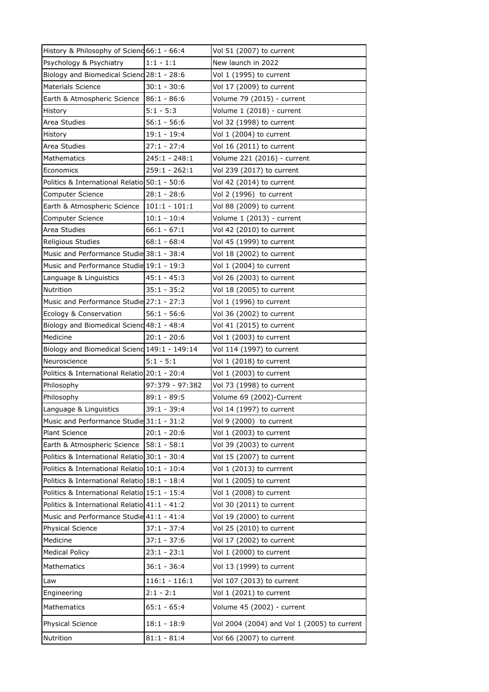| History & Philosophy of Sciend 66:1 - 66:4   |                 | Vol 51 (2007) to current                    |
|----------------------------------------------|-----------------|---------------------------------------------|
| Psychology & Psychiatry                      | $1:1 - 1:1$     | New launch in 2022                          |
| Biology and Biomedical Scienc 28:1 - 28:6    |                 | Vol 1 (1995) to current                     |
| <b>Materials Science</b>                     | $30:1 - 30:6$   | Vol 17 (2009) to current                    |
| Earth & Atmospheric Science                  | $86:1 - 86:6$   | Volume 79 (2015) - current                  |
| History                                      | $5:1 - 5:3$     | Volume 1 (2018) - current                   |
| Area Studies                                 | $56:1 - 56:6$   | Vol 32 (1998) to current                    |
| History                                      | $19:1 - 19:4$   | Vol 1 (2004) to current                     |
| Area Studies                                 | $27:1 - 27:4$   | Vol 16 (2011) to current                    |
| Mathematics                                  | $245:1 - 248:1$ | Volume 221 (2016) - current                 |
| Economics                                    | $259:1 - 262:1$ | Vol 239 (2017) to current                   |
| Politics & International Relatio 50:1 - 50:6 |                 | Vol 42 (2014) to current                    |
| Computer Science                             | $28:1 - 28:6$   | Vol 2 (1996) to current                     |
| Earth & Atmospheric Science                  | $101:1 - 101:1$ | Vol 88 (2009) to current                    |
| Computer Science                             | $10:1 - 10:4$   | Volume 1 (2013) - current                   |
| Area Studies                                 | $66:1 - 67:1$   | Vol 42 (2010) to current                    |
| Religious Studies                            | $68:1 - 68:4$   | Vol 45 (1999) to current                    |
| Music and Performance Studie 38:1 - 38:4     |                 | Vol 18 (2002) to current                    |
| Music and Performance Studie 19:1 - 19:3     |                 | Vol 1 (2004) to current                     |
| Language & Linguistics                       | $45:1 - 45:3$   | Vol 26 (2003) to current                    |
| Nutrition                                    | $35:1 - 35:2$   | Vol 18 (2005) to current                    |
| Music and Performance Studie 27:1 - 27:3     |                 | Vol 1 (1996) to current                     |
| Ecology & Conservation                       | $56:1 - 56:6$   | Vol 36 (2002) to current                    |
| Biology and Biomedical Scienc 48:1 - 48:4    |                 | Vol 41 (2015) to current                    |
| Medicine                                     | $20:1 - 20:6$   | Vol 1 (2003) to current                     |
| Biology and Biomedical Scienc 149:1 - 149:14 |                 | Vol 114 (1997) to current                   |
| Neuroscience                                 | $5:1 - 5:1$     | Vol 1 (2018) to current                     |
| Politics & International Relatio 20:1 - 20:4 |                 | Vol 1 (2003) to current                     |
| Philosophy                                   | 97:379 - 97:382 | Vol 73 (1998) to current                    |
| Philosophy                                   | $89:1 - 89:5$   | Volume 69 (2002)-Current                    |
| Language & Linguistics                       | $39:1 - 39:4$   | Vol 14 (1997) to current                    |
| Music and Performance Studie 31:1 - 31:2     |                 | Vol 9 (2000) to current                     |
| <b>Plant Science</b>                         | $20:1 - 20:6$   | Vol 1 (2003) to current                     |
| Earth & Atmospheric Science                  | $58:1 - 58:1$   | Vol 39 (2003) to current                    |
| Politics & International Relatio 30:1 - 30:4 |                 | Vol 15 (2007) to current                    |
| Politics & International Relatio 10:1 - 10:4 |                 | Vol 1 (2013) to currrent                    |
| Politics & International Relatio 18:1 - 18:4 |                 | Vol 1 (2005) to current                     |
| Politics & International Relatio 15:1 - 15:4 |                 | Vol 1 (2008) to current                     |
| Politics & International Relatio 41:1 - 41:2 |                 | Vol 30 (2011) to current                    |
| Music and Performance Studie 41:1 - 41:4     |                 | Vol 19 (2000) to current                    |
| <b>Physical Science</b>                      | $37:1 - 37:4$   | Vol 25 (2010) to current                    |
| Medicine                                     | $37:1 - 37:6$   | Vol 17 (2002) to current                    |
| <b>Medical Policy</b>                        | $23:1 - 23:1$   | Vol 1 (2000) to current                     |
| <b>Mathematics</b>                           | $36:1 - 36:4$   | Vol 13 (1999) to current                    |
| Law                                          | $116:1 - 116:1$ | Vol 107 (2013) to current                   |
| Engineering                                  | $2:1 - 2:1$     | Vol 1 (2021) to current                     |
| <b>Mathematics</b>                           | $65:1 - 65:4$   | Volume 45 (2002) - current                  |
| <b>Physical Science</b>                      | $18:1 - 18:9$   | Vol 2004 (2004) and Vol 1 (2005) to current |
| Nutrition                                    | $81:1 - 81:4$   | Vol 66 (2007) to current                    |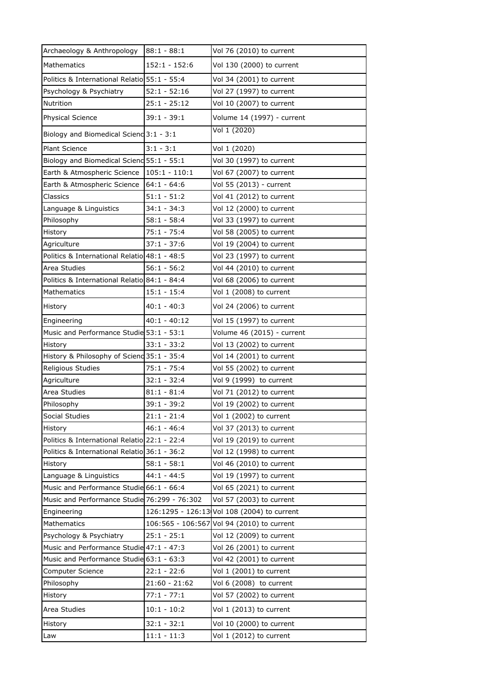| Archaeology & Anthropology                   | $88:1 - 88:1$   | Vol 76 (2010) to current                    |
|----------------------------------------------|-----------------|---------------------------------------------|
| Mathematics                                  | $152:1 - 152:6$ | Vol 130 (2000) to current                   |
| Politics & International Relatio 55:1 - 55:4 |                 | Vol 34 (2001) to current                    |
| Psychology & Psychiatry                      | $52:1 - 52:16$  | Vol 27 (1997) to current                    |
| Nutrition                                    | $25:1 - 25:12$  | Vol 10 (2007) to current                    |
| <b>Physical Science</b>                      | $39:1 - 39:1$   | Volume 14 (1997) - current                  |
| Biology and Biomedical Scienc 3:1 - 3:1      |                 | Vol 1 (2020)                                |
| <b>Plant Science</b>                         | $3:1 - 3:1$     | Vol 1 (2020)                                |
| Biology and Biomedical Scienc 55:1 - 55:1    |                 | Vol 30 (1997) to current                    |
| Earth & Atmospheric Science                  | $105:1 - 110:1$ | Vol 67 (2007) to current                    |
| Earth & Atmospheric Science                  | $64:1 - 64:6$   | Vol 55 (2013) - current                     |
| Classics                                     | $51:1 - 51:2$   | Vol 41 (2012) to current                    |
| Language & Linguistics                       | $34:1 - 34:3$   | Vol 12 (2000) to current                    |
| Philosophy                                   | $58:1 - 58:4$   | Vol 33 (1997) to current                    |
| History                                      | $75:1 - 75:4$   | Vol 58 (2005) to current                    |
| Agriculture                                  | $37:1 - 37:6$   | Vol 19 (2004) to current                    |
| Politics & International Relatio 48:1 - 48:5 |                 | Vol 23 (1997) to current                    |
| Area Studies                                 | $56:1 - 56:2$   | Vol 44 (2010) to current                    |
| Politics & International Relatio 84:1 - 84:4 |                 | Vol 68 (2006) to current                    |
| Mathematics                                  | $15:1 - 15:4$   | Vol 1 (2008) to current                     |
| History                                      | $40:1 - 40:3$   | Vol 24 (2006) to current                    |
| Engineering                                  | 40:1 - 40:12    | Vol 15 (1997) to current                    |
| Music and Performance Studie 53:1 - 53:1     |                 | Volume 46 (2015) - current                  |
| History                                      | $33:1 - 33:2$   | Vol 13 (2002) to current                    |
| History & Philosophy of Scienc 35:1 - 35:4   |                 | Vol 14 (2001) to current                    |
| Religious Studies                            | $75:1 - 75:4$   | Vol 55 (2002) to current                    |
| Agriculture                                  | $32:1 - 32:4$   | Vol 9 (1999) to current                     |
| Area Studies                                 | 81:1 - 81:4     | Vol 71 (2012) to current                    |
| Philosophy                                   | $39:1 - 39:2$   | Vol 19 (2002) to current                    |
| Social Studies                               | $21:1 - 21:4$   | Vol 1 (2002) to current                     |
| History                                      | $46:1 - 46:4$   | Vol 37 (2013) to current                    |
| Politics & International Relatio 22:1 - 22:4 |                 | Vol 19 (2019) to current                    |
| Politics & International Relatio 36:1 - 36:2 |                 | Vol 12 (1998) to current                    |
| History                                      | $58:1 - 58:1$   | Vol 46 (2010) to current                    |
| Language & Linguistics                       | $44:1 - 44:5$   | Vol 19 (1997) to current                    |
| Music and Performance Studie 66:1 - 66:4     |                 | Vol 65 (2021) to current                    |
| Music and Performance Studie 76:299 - 76:302 |                 | Vol 57 (2003) to current                    |
| Engineering                                  |                 | 126:1295 - 126:13 Vol 108 (2004) to current |
| Mathematics                                  |                 | 106:565 - 106:567 Vol 94 (2010) to current  |
| Psychology & Psychiatry                      | $25:1 - 25:1$   | Vol 12 (2009) to current                    |
| Music and Performance Studie 47:1 - 47:3     |                 | Vol 26 (2001) to current                    |
| Music and Performance Studie 63:1 - 63:3     |                 | Vol 42 (2001) to current                    |
| Computer Science                             | $22:1 - 22:6$   | Vol 1 (2001) to current                     |
| Philosophy                                   | $21:60 - 21:62$ | Vol 6 (2008) to current                     |
| History                                      | $77:1 - 77:1$   | Vol 57 (2002) to current                    |
| Area Studies                                 | $10:1 - 10:2$   | Vol 1 (2013) to current                     |
| History                                      | $32:1 - 32:1$   | Vol 10 (2000) to current                    |
| Law                                          | $11:1 - 11:3$   | Vol 1 (2012) to current                     |